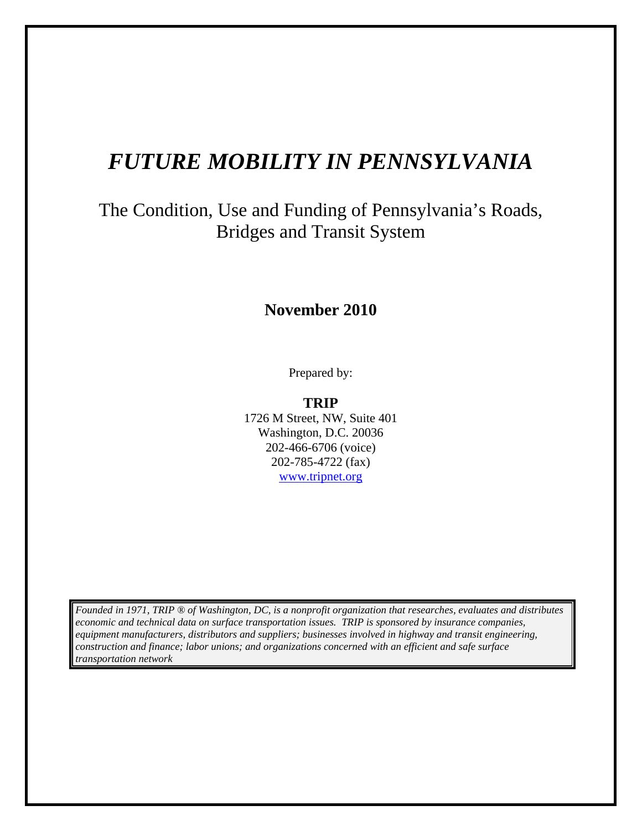# *FUTURE MOBILITY IN PENNSYLVANIA*

# The Condition, Use and Funding of Pennsylvania's Roads, Bridges and Transit System

# **November 2010**

Prepared by:

**TRIP**  1726 M Street, NW, Suite 401 Washington, D.C. 20036 202-466-6706 (voice) 202-785-4722 (fax) www.tripnet.org

*Founded in 1971, TRIP ® of Washington, DC, is a nonprofit organization that researches, evaluates and distributes economic and technical data on surface transportation issues. TRIP is sponsored by insurance companies, equipment manufacturers, distributors and suppliers; businesses involved in highway and transit engineering, construction and finance; labor unions; and organizations concerned with an efficient and safe surface transportation network*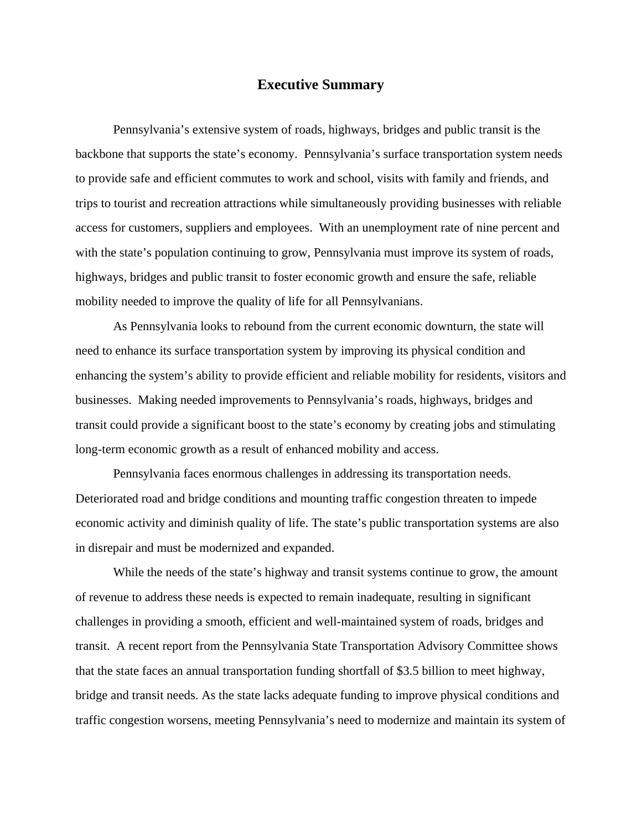#### **Executive Summary**

 Pennsylvania's extensive system of roads, highways, bridges and public transit is the backbone that supports the state's economy. Pennsylvania's surface transportation system needs to provide safe and efficient commutes to work and school, visits with family and friends, and trips to tourist and recreation attractions while simultaneously providing businesses with reliable access for customers, suppliers and employees. With an unemployment rate of nine percent and with the state's population continuing to grow, Pennsylvania must improve its system of roads, highways, bridges and public transit to foster economic growth and ensure the safe, reliable mobility needed to improve the quality of life for all Pennsylvanians.

 As Pennsylvania looks to rebound from the current economic downturn, the state will need to enhance its surface transportation system by improving its physical condition and enhancing the system's ability to provide efficient and reliable mobility for residents, visitors and businesses. Making needed improvements to Pennsylvania's roads, highways, bridges and transit could provide a significant boost to the state's economy by creating jobs and stimulating long-term economic growth as a result of enhanced mobility and access.

Pennsylvania faces enormous challenges in addressing its transportation needs. Deteriorated road and bridge conditions and mounting traffic congestion threaten to impede economic activity and diminish quality of life. The state's public transportation systems are also in disrepair and must be modernized and expanded.

While the needs of the state's highway and transit systems continue to grow, the amount of revenue to address these needs is expected to remain inadequate, resulting in significant challenges in providing a smooth, efficient and well-maintained system of roads, bridges and transit. A recent report from the Pennsylvania State Transportation Advisory Committee shows that the state faces an annual transportation funding shortfall of \$3.5 billion to meet highway, bridge and transit needs. As the state lacks adequate funding to improve physical conditions and traffic congestion worsens, meeting Pennsylvania's need to modernize and maintain its system of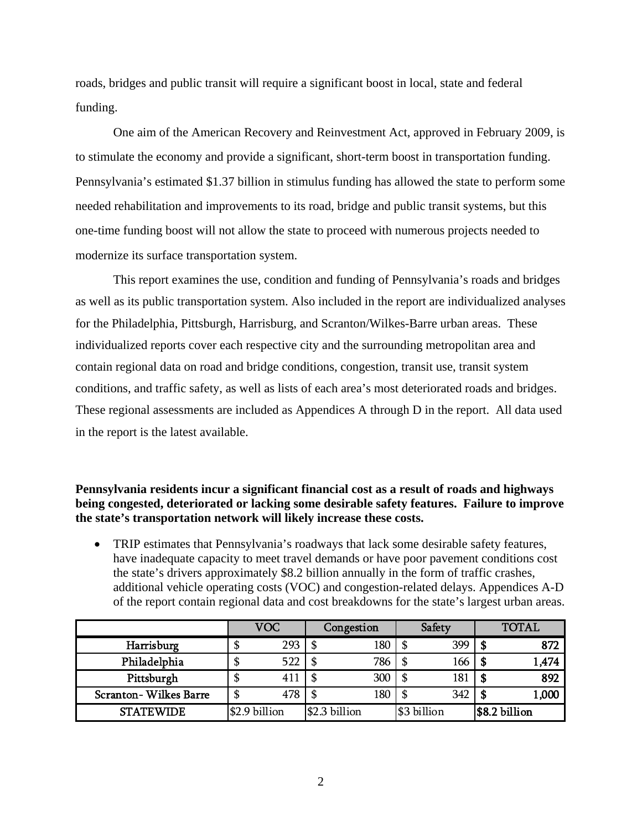roads, bridges and public transit will require a significant boost in local, state and federal funding.

One aim of the American Recovery and Reinvestment Act, approved in February 2009, is to stimulate the economy and provide a significant, short-term boost in transportation funding. Pennsylvania's estimated \$1.37 billion in stimulus funding has allowed the state to perform some needed rehabilitation and improvements to its road, bridge and public transit systems, but this one-time funding boost will not allow the state to proceed with numerous projects needed to modernize its surface transportation system.

This report examines the use, condition and funding of Pennsylvania's roads and bridges as well as its public transportation system. Also included in the report are individualized analyses for the Philadelphia, Pittsburgh, Harrisburg, and Scranton/Wilkes-Barre urban areas. These individualized reports cover each respective city and the surrounding metropolitan area and contain regional data on road and bridge conditions, congestion, transit use, transit system conditions, and traffic safety, as well as lists of each area's most deteriorated roads and bridges. These regional assessments are included as Appendices A through D in the report. All data used in the report is the latest available.

#### **Pennsylvania residents incur a significant financial cost as a result of roads and highways being congested, deteriorated or lacking some desirable safety features. Failure to improve the state's transportation network will likely increase these costs.**

• TRIP estimates that Pennsylvania's roadways that lack some desirable safety features, have inadequate capacity to meet travel demands or have poor pavement conditions cost the state's drivers approximately \$8.2 billion annually in the form of traffic crashes, additional vehicle operating costs (VOC) and congestion-related delays. Appendices A-D of the report contain regional data and cost breakdowns for the state's largest urban areas.

|                       | <b>VOC</b> |               | Congestion |                | Safety |             | <b>TOTAL</b> |               |
|-----------------------|------------|---------------|------------|----------------|--------|-------------|--------------|---------------|
| Harrisburg            | \$         | 293           | S          | 180            | \$     | 399         | S            | 872           |
| Philadelphia          | \$         | 522           | \$         | 786            | S      | 166         |              | 1,474         |
| Pittsburgh            | \$         | 411           | S          | 300            | \$     | 181         | -S           | 892           |
| Scranton-Wilkes Barre | \$         | 478           | \$         | 180            | \$     | 342         | S            | 1,000         |
| <b>STATEWIDE</b>      |            | \$2.9 billion |            | $$2.3$ billion |        | \$3 billion |              | \$8.2 billion |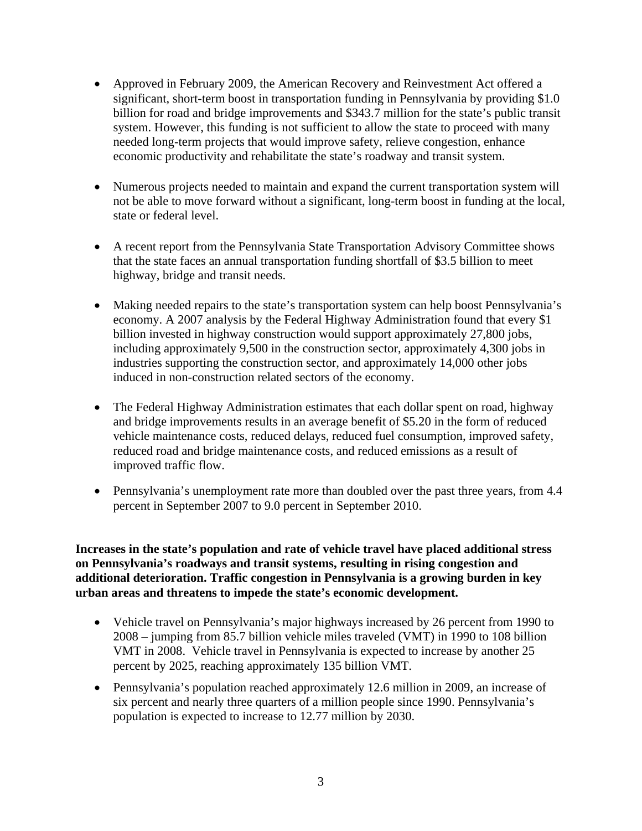- Approved in February 2009, the American Recovery and Reinvestment Act offered a significant, short-term boost in transportation funding in Pennsylvania by providing \$1.0 billion for road and bridge improvements and \$343.7 million for the state's public transit system. However, this funding is not sufficient to allow the state to proceed with many needed long-term projects that would improve safety, relieve congestion, enhance economic productivity and rehabilitate the state's roadway and transit system.
- Numerous projects needed to maintain and expand the current transportation system will not be able to move forward without a significant, long-term boost in funding at the local, state or federal level.
- A recent report from the Pennsylvania State Transportation Advisory Committee shows that the state faces an annual transportation funding shortfall of \$3.5 billion to meet highway, bridge and transit needs.
- Making needed repairs to the state's transportation system can help boost Pennsylvania's economy. A 2007 analysis by the Federal Highway Administration found that every \$1 billion invested in highway construction would support approximately 27,800 jobs, including approximately 9,500 in the construction sector, approximately 4,300 jobs in industries supporting the construction sector, and approximately 14,000 other jobs induced in non-construction related sectors of the economy.
- The Federal Highway Administration estimates that each dollar spent on road, highway and bridge improvements results in an average benefit of \$5.20 in the form of reduced vehicle maintenance costs, reduced delays, reduced fuel consumption, improved safety, reduced road and bridge maintenance costs, and reduced emissions as a result of improved traffic flow.
- Pennsylvania's unemployment rate more than doubled over the past three years, from 4.4 percent in September 2007 to 9.0 percent in September 2010.

**Increases in the state's population and rate of vehicle travel have placed additional stress on Pennsylvania's roadways and transit systems, resulting in rising congestion and additional deterioration. Traffic congestion in Pennsylvania is a growing burden in key urban areas and threatens to impede the state's economic development.** 

- Vehicle travel on Pennsylvania's major highways increased by 26 percent from 1990 to 2008 – jumping from 85.7 billion vehicle miles traveled (VMT) in 1990 to 108 billion VMT in 2008. Vehicle travel in Pennsylvania is expected to increase by another 25 percent by 2025, reaching approximately 135 billion VMT.
- Pennsylvania's population reached approximately 12.6 million in 2009, an increase of six percent and nearly three quarters of a million people since 1990. Pennsylvania's population is expected to increase to 12.77 million by 2030.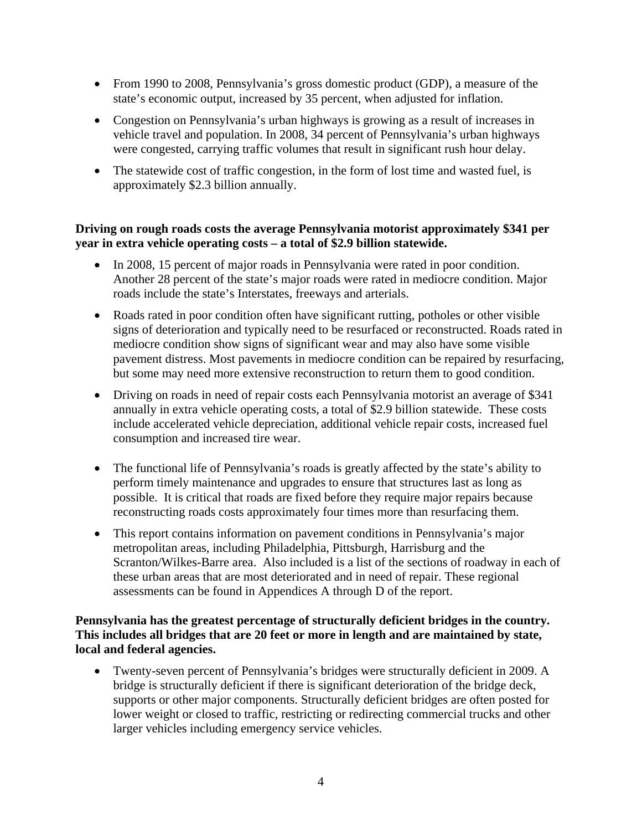- From 1990 to 2008, Pennsylvania's gross domestic product (GDP), a measure of the state's economic output, increased by 35 percent, when adjusted for inflation.
- Congestion on Pennsylvania's urban highways is growing as a result of increases in vehicle travel and population. In 2008, 34 percent of Pennsylvania's urban highways were congested, carrying traffic volumes that result in significant rush hour delay.
- The statewide cost of traffic congestion, in the form of lost time and wasted fuel, is approximately \$2.3 billion annually.

# **Driving on rough roads costs the average Pennsylvania motorist approximately \$341 per year in extra vehicle operating costs – a total of \$2.9 billion statewide.**

- In 2008, 15 percent of major roads in Pennsylvania were rated in poor condition. Another 28 percent of the state's major roads were rated in mediocre condition. Major roads include the state's Interstates, freeways and arterials.
- Roads rated in poor condition often have significant rutting, potholes or other visible signs of deterioration and typically need to be resurfaced or reconstructed. Roads rated in mediocre condition show signs of significant wear and may also have some visible pavement distress. Most pavements in mediocre condition can be repaired by resurfacing, but some may need more extensive reconstruction to return them to good condition.
- Driving on roads in need of repair costs each Pennsylvania motorist an average of \$341 annually in extra vehicle operating costs, a total of \$2.9 billion statewide. These costs include accelerated vehicle depreciation, additional vehicle repair costs, increased fuel consumption and increased tire wear.
- The functional life of Pennsylvania's roads is greatly affected by the state's ability to perform timely maintenance and upgrades to ensure that structures last as long as possible. It is critical that roads are fixed before they require major repairs because reconstructing roads costs approximately four times more than resurfacing them.
- This report contains information on pavement conditions in Pennsylvania's major metropolitan areas, including Philadelphia, Pittsburgh, Harrisburg and the Scranton/Wilkes-Barre area. Also included is a list of the sections of roadway in each of these urban areas that are most deteriorated and in need of repair. These regional assessments can be found in Appendices A through D of the report.

# **Pennsylvania has the greatest percentage of structurally deficient bridges in the country. This includes all bridges that are 20 feet or more in length and are maintained by state, local and federal agencies.**

• Twenty-seven percent of Pennsylvania's bridges were structurally deficient in 2009. A bridge is structurally deficient if there is significant deterioration of the bridge deck, supports or other major components. Structurally deficient bridges are often posted for lower weight or closed to traffic, restricting or redirecting commercial trucks and other larger vehicles including emergency service vehicles.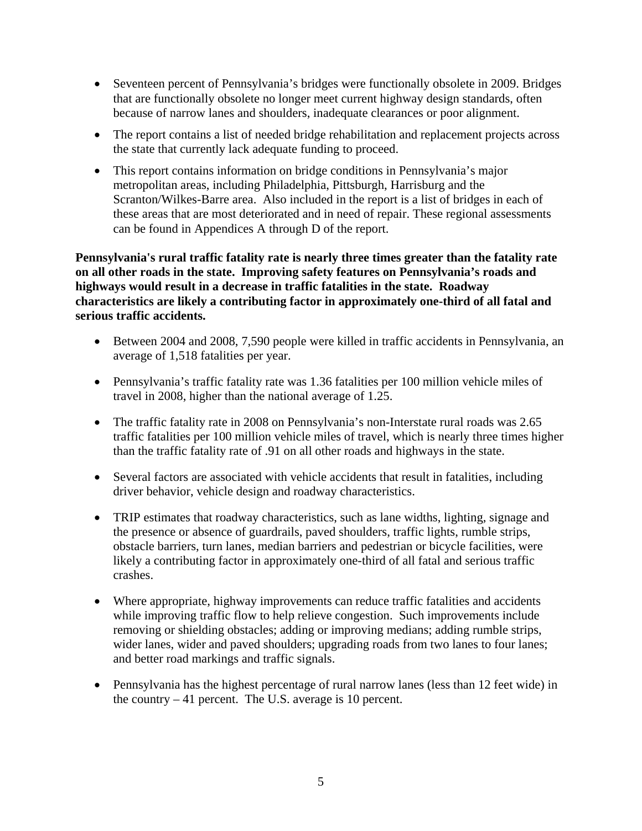- Seventeen percent of Pennsylvania's bridges were functionally obsolete in 2009. Bridges that are functionally obsolete no longer meet current highway design standards, often because of narrow lanes and shoulders, inadequate clearances or poor alignment.
- The report contains a list of needed bridge rehabilitation and replacement projects across the state that currently lack adequate funding to proceed.
- This report contains information on bridge conditions in Pennsylvania's major metropolitan areas, including Philadelphia, Pittsburgh, Harrisburg and the Scranton/Wilkes-Barre area. Also included in the report is a list of bridges in each of these areas that are most deteriorated and in need of repair. These regional assessments can be found in Appendices A through D of the report.

**Pennsylvania's rural traffic fatality rate is nearly three times greater than the fatality rate on all other roads in the state. Improving safety features on Pennsylvania's roads and highways would result in a decrease in traffic fatalities in the state. Roadway characteristics are likely a contributing factor in approximately one-third of all fatal and serious traffic accidents.** 

- Between 2004 and 2008, 7,590 people were killed in traffic accidents in Pennsylvania, an average of 1,518 fatalities per year.
- Pennsylvania's traffic fatality rate was 1.36 fatalities per 100 million vehicle miles of travel in 2008, higher than the national average of 1.25.
- The traffic fatality rate in 2008 on Pennsylvania's non-Interstate rural roads was 2.65 traffic fatalities per 100 million vehicle miles of travel, which is nearly three times higher than the traffic fatality rate of .91 on all other roads and highways in the state.
- Several factors are associated with vehicle accidents that result in fatalities, including driver behavior, vehicle design and roadway characteristics.
- TRIP estimates that roadway characteristics, such as lane widths, lighting, signage and the presence or absence of guardrails, paved shoulders, traffic lights, rumble strips, obstacle barriers, turn lanes, median barriers and pedestrian or bicycle facilities, were likely a contributing factor in approximately one-third of all fatal and serious traffic crashes.
- Where appropriate, highway improvements can reduce traffic fatalities and accidents while improving traffic flow to help relieve congestion. Such improvements include removing or shielding obstacles; adding or improving medians; adding rumble strips, wider lanes, wider and paved shoulders; upgrading roads from two lanes to four lanes; and better road markings and traffic signals.
- Pennsylvania has the highest percentage of rural narrow lanes (less than 12 feet wide) in the country – 41 percent. The U.S. average is 10 percent.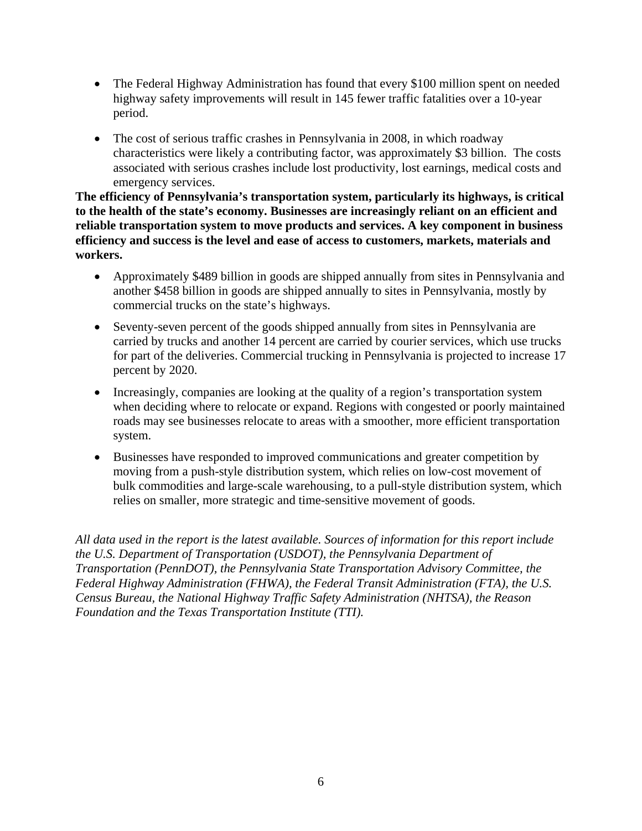- The Federal Highway Administration has found that every \$100 million spent on needed highway safety improvements will result in 145 fewer traffic fatalities over a 10-year period.
- The cost of serious traffic crashes in Pennsylvania in 2008, in which roadway characteristics were likely a contributing factor, was approximately \$3 billion. The costs associated with serious crashes include lost productivity, lost earnings, medical costs and emergency services.

**The efficiency of Pennsylvania's transportation system, particularly its highways, is critical to the health of the state's economy. Businesses are increasingly reliant on an efficient and reliable transportation system to move products and services. A key component in business efficiency and success is the level and ease of access to customers, markets, materials and workers.** 

- Approximately \$489 billion in goods are shipped annually from sites in Pennsylvania and another \$458 billion in goods are shipped annually to sites in Pennsylvania, mostly by commercial trucks on the state's highways.
- Seventy-seven percent of the goods shipped annually from sites in Pennsylvania are carried by trucks and another 14 percent are carried by courier services, which use trucks for part of the deliveries. Commercial trucking in Pennsylvania is projected to increase 17 percent by 2020.
- Increasingly, companies are looking at the quality of a region's transportation system when deciding where to relocate or expand. Regions with congested or poorly maintained roads may see businesses relocate to areas with a smoother, more efficient transportation system.
- Businesses have responded to improved communications and greater competition by moving from a push-style distribution system, which relies on low-cost movement of bulk commodities and large-scale warehousing, to a pull-style distribution system, which relies on smaller, more strategic and time-sensitive movement of goods.

*All data used in the report is the latest available. Sources of information for this report include the U.S. Department of Transportation (USDOT), the Pennsylvania Department of Transportation (PennDOT), the Pennsylvania State Transportation Advisory Committee, the Federal Highway Administration (FHWA), the Federal Transit Administration (FTA), the U.S. Census Bureau, the National Highway Traffic Safety Administration (NHTSA), the Reason Foundation and the Texas Transportation Institute (TTI).*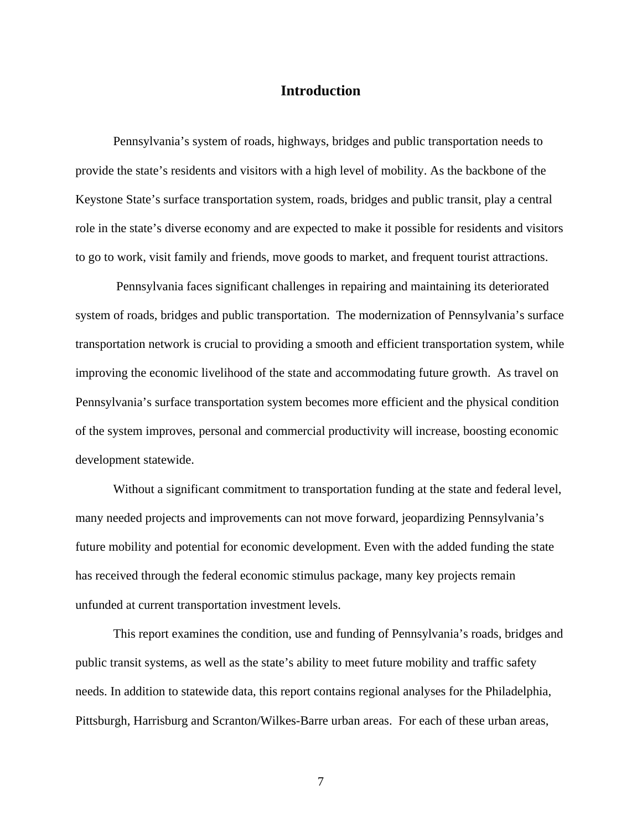# **Introduction**

Pennsylvania's system of roads, highways, bridges and public transportation needs to provide the state's residents and visitors with a high level of mobility. As the backbone of the Keystone State's surface transportation system, roads, bridges and public transit, play a central role in the state's diverse economy and are expected to make it possible for residents and visitors to go to work, visit family and friends, move goods to market, and frequent tourist attractions.

 Pennsylvania faces significant challenges in repairing and maintaining its deteriorated system of roads, bridges and public transportation. The modernization of Pennsylvania's surface transportation network is crucial to providing a smooth and efficient transportation system, while improving the economic livelihood of the state and accommodating future growth. As travel on Pennsylvania's surface transportation system becomes more efficient and the physical condition of the system improves, personal and commercial productivity will increase, boosting economic development statewide.

Without a significant commitment to transportation funding at the state and federal level, many needed projects and improvements can not move forward, jeopardizing Pennsylvania's future mobility and potential for economic development. Even with the added funding the state has received through the federal economic stimulus package, many key projects remain unfunded at current transportation investment levels.

This report examines the condition, use and funding of Pennsylvania's roads, bridges and public transit systems, as well as the state's ability to meet future mobility and traffic safety needs. In addition to statewide data, this report contains regional analyses for the Philadelphia, Pittsburgh, Harrisburg and Scranton/Wilkes-Barre urban areas. For each of these urban areas,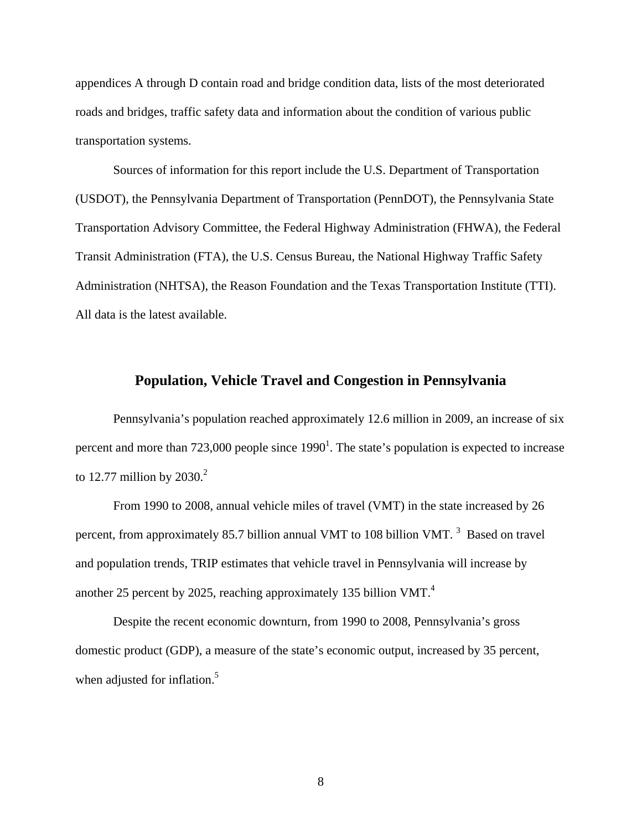appendices A through D contain road and bridge condition data, lists of the most deteriorated roads and bridges, traffic safety data and information about the condition of various public transportation systems.

Sources of information for this report include the U.S. Department of Transportation (USDOT), the Pennsylvania Department of Transportation (PennDOT), the Pennsylvania State Transportation Advisory Committee, the Federal Highway Administration (FHWA), the Federal Transit Administration (FTA), the U.S. Census Bureau, the National Highway Traffic Safety Administration (NHTSA), the Reason Foundation and the Texas Transportation Institute (TTI). All data is the latest available.

#### **Population, Vehicle Travel and Congestion in Pennsylvania**

Pennsylvania's population reached approximately 12.6 million in 2009, an increase of six percent and more than 723,000 people since  $1990^1$ . The state's population is expected to increase to 12.77 million by  $2030<sup>2</sup>$ 

From 1990 to 2008, annual vehicle miles of travel (VMT) in the state increased by 26 percent, from approximately 85.7 billion annual VMT to 108 billion VMT.  $3$  Based on travel and population trends, TRIP estimates that vehicle travel in Pennsylvania will increase by another 25 percent by 2025, reaching approximately 135 billion VMT.<sup>4</sup>

Despite the recent economic downturn, from 1990 to 2008, Pennsylvania's gross domestic product (GDP), a measure of the state's economic output, increased by 35 percent, when adjusted for inflation.<sup>5</sup>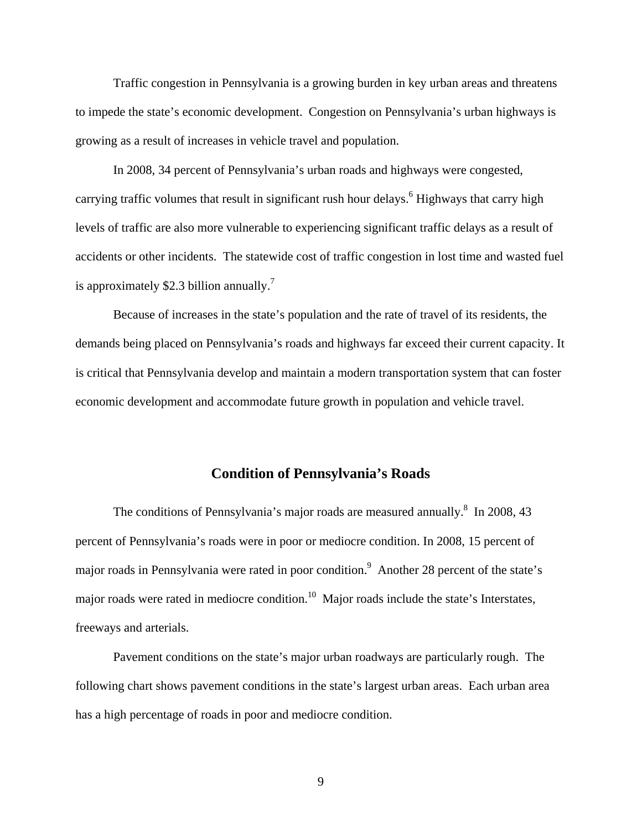Traffic congestion in Pennsylvania is a growing burden in key urban areas and threatens to impede the state's economic development. Congestion on Pennsylvania's urban highways is growing as a result of increases in vehicle travel and population.

In 2008, 34 percent of Pennsylvania's urban roads and highways were congested, carrying traffic volumes that result in significant rush hour delays.<sup>6</sup> Highways that carry high levels of traffic are also more vulnerable to experiencing significant traffic delays as a result of accidents or other incidents. The statewide cost of traffic congestion in lost time and wasted fuel is approximately \$2.3 billion annually.<sup>7</sup>

Because of increases in the state's population and the rate of travel of its residents, the demands being placed on Pennsylvania's roads and highways far exceed their current capacity. It is critical that Pennsylvania develop and maintain a modern transportation system that can foster economic development and accommodate future growth in population and vehicle travel.

#### **Condition of Pennsylvania's Roads**

The conditions of Pennsylvania's major roads are measured annually. $8\,$  In 2008, 43 percent of Pennsylvania's roads were in poor or mediocre condition. In 2008, 15 percent of major roads in Pennsylvania were rated in poor condition.<sup>9</sup> Another 28 percent of the state's major roads were rated in mediocre condition.<sup>10</sup> Major roads include the state's Interstates, freeways and arterials.

Pavement conditions on the state's major urban roadways are particularly rough. The following chart shows pavement conditions in the state's largest urban areas. Each urban area has a high percentage of roads in poor and mediocre condition.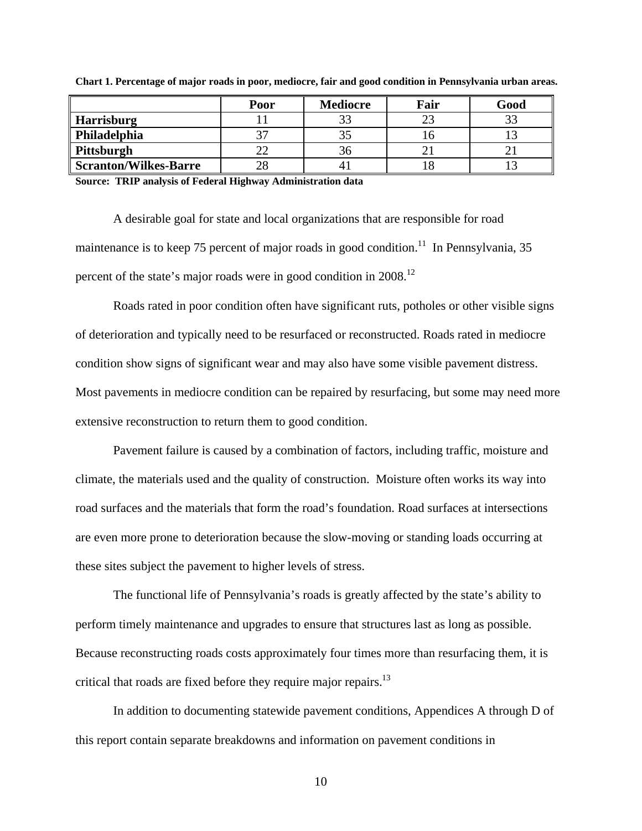|                              | Poor | <b>Mediocre</b> | Fair | Good |
|------------------------------|------|-----------------|------|------|
| <b>Harrisburg</b>            |      |                 |      | 33   |
| Philadelphia                 |      |                 |      |      |
| Pittsburgh                   |      | .3h             |      |      |
| <b>Scranton/Wilkes-Barre</b> |      | 4.              |      |      |

**Chart 1. Percentage of major roads in poor, mediocre, fair and good condition in Pennsylvania urban areas.** 

**Source: TRIP analysis of Federal Highway Administration data** 

A desirable goal for state and local organizations that are responsible for road maintenance is to keep 75 percent of major roads in good condition.<sup>11</sup> In Pennsylvania, 35 percent of the state's major roads were in good condition in 2008.<sup>12</sup>

Roads rated in poor condition often have significant ruts, potholes or other visible signs of deterioration and typically need to be resurfaced or reconstructed. Roads rated in mediocre condition show signs of significant wear and may also have some visible pavement distress. Most pavements in mediocre condition can be repaired by resurfacing, but some may need more extensive reconstruction to return them to good condition.

Pavement failure is caused by a combination of factors, including traffic, moisture and climate, the materials used and the quality of construction. Moisture often works its way into road surfaces and the materials that form the road's foundation. Road surfaces at intersections are even more prone to deterioration because the slow-moving or standing loads occurring at these sites subject the pavement to higher levels of stress.

The functional life of Pennsylvania's roads is greatly affected by the state's ability to perform timely maintenance and upgrades to ensure that structures last as long as possible. Because reconstructing roads costs approximately four times more than resurfacing them, it is critical that roads are fixed before they require major repairs.<sup>13</sup>

In addition to documenting statewide pavement conditions, Appendices A through D of this report contain separate breakdowns and information on pavement conditions in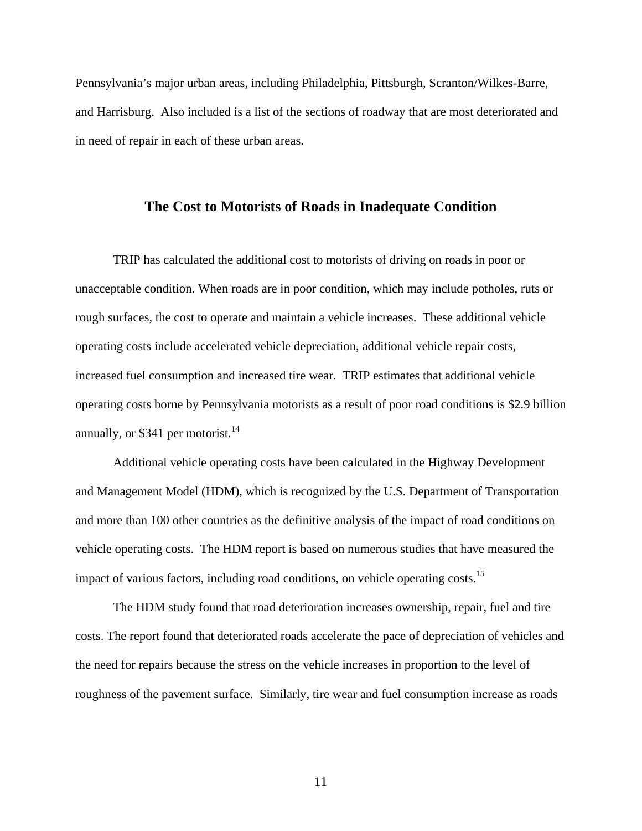Pennsylvania's major urban areas, including Philadelphia, Pittsburgh, Scranton/Wilkes-Barre, and Harrisburg. Also included is a list of the sections of roadway that are most deteriorated and in need of repair in each of these urban areas.

#### **The Cost to Motorists of Roads in Inadequate Condition**

TRIP has calculated the additional cost to motorists of driving on roads in poor or unacceptable condition. When roads are in poor condition, which may include potholes, ruts or rough surfaces, the cost to operate and maintain a vehicle increases. These additional vehicle operating costs include accelerated vehicle depreciation, additional vehicle repair costs, increased fuel consumption and increased tire wear. TRIP estimates that additional vehicle operating costs borne by Pennsylvania motorists as a result of poor road conditions is \$2.9 billion annually, or  $$341$  per motorist.<sup>14</sup>

Additional vehicle operating costs have been calculated in the Highway Development and Management Model (HDM), which is recognized by the U.S. Department of Transportation and more than 100 other countries as the definitive analysis of the impact of road conditions on vehicle operating costs. The HDM report is based on numerous studies that have measured the impact of various factors, including road conditions, on vehicle operating costs.<sup>15</sup>

 The HDM study found that road deterioration increases ownership, repair, fuel and tire costs. The report found that deteriorated roads accelerate the pace of depreciation of vehicles and the need for repairs because the stress on the vehicle increases in proportion to the level of roughness of the pavement surface. Similarly, tire wear and fuel consumption increase as roads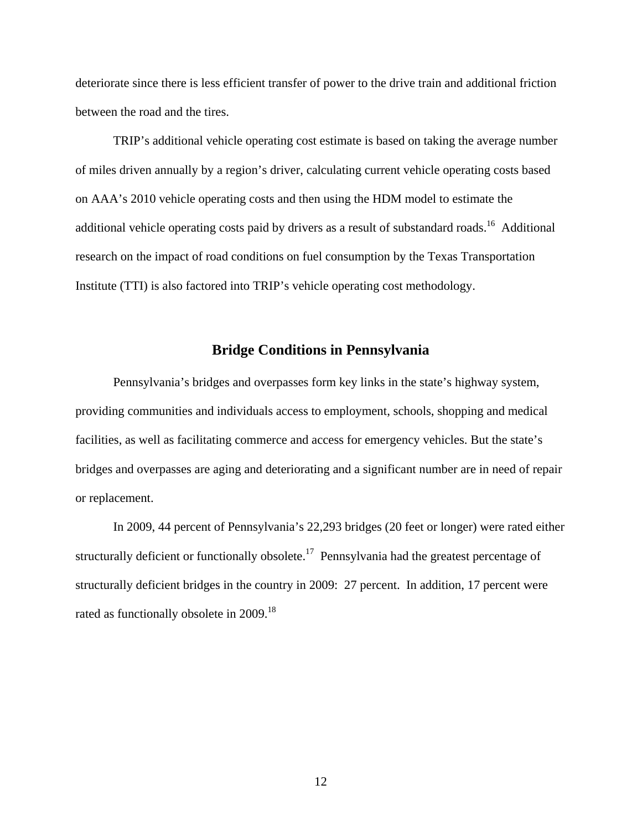deteriorate since there is less efficient transfer of power to the drive train and additional friction between the road and the tires.

 TRIP's additional vehicle operating cost estimate is based on taking the average number of miles driven annually by a region's driver, calculating current vehicle operating costs based on AAA's 2010 vehicle operating costs and then using the HDM model to estimate the additional vehicle operating costs paid by drivers as a result of substandard roads.<sup>16</sup> Additional research on the impact of road conditions on fuel consumption by the Texas Transportation Institute (TTI) is also factored into TRIP's vehicle operating cost methodology.

#### **Bridge Conditions in Pennsylvania**

Pennsylvania's bridges and overpasses form key links in the state's highway system, providing communities and individuals access to employment, schools, shopping and medical facilities, as well as facilitating commerce and access for emergency vehicles. But the state's bridges and overpasses are aging and deteriorating and a significant number are in need of repair or replacement.

In 2009, 44 percent of Pennsylvania's 22,293 bridges (20 feet or longer) were rated either structurally deficient or functionally obsolete.<sup>17</sup> Pennsylvania had the greatest percentage of structurally deficient bridges in the country in 2009: 27 percent. In addition, 17 percent were rated as functionally obsolete in 2009.<sup>18</sup>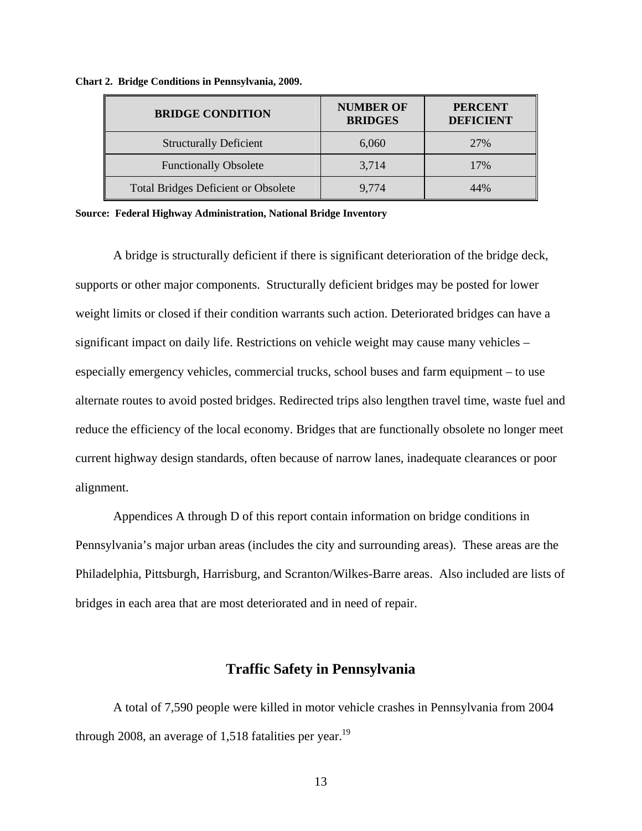| <b>BRIDGE CONDITION</b>                    | <b>NUMBER OF</b><br><b>BRIDGES</b> | <b>PERCENT</b><br><b>DEFICIENT</b> |
|--------------------------------------------|------------------------------------|------------------------------------|
| <b>Structurally Deficient</b>              | 6,060                              | 27%                                |
| <b>Functionally Obsolete</b>               | 3,714                              | 17%                                |
| <b>Total Bridges Deficient or Obsolete</b> | 9.774                              | 14%                                |

**Chart 2. Bridge Conditions in Pennsylvania, 2009.** 

**Source: Federal Highway Administration, National Bridge Inventory** 

A bridge is structurally deficient if there is significant deterioration of the bridge deck, supports or other major components. Structurally deficient bridges may be posted for lower weight limits or closed if their condition warrants such action. Deteriorated bridges can have a significant impact on daily life. Restrictions on vehicle weight may cause many vehicles – especially emergency vehicles, commercial trucks, school buses and farm equipment – to use alternate routes to avoid posted bridges. Redirected trips also lengthen travel time, waste fuel and reduce the efficiency of the local economy. Bridges that are functionally obsolete no longer meet current highway design standards, often because of narrow lanes, inadequate clearances or poor alignment.

 Appendices A through D of this report contain information on bridge conditions in Pennsylvania's major urban areas (includes the city and surrounding areas). These areas are the Philadelphia, Pittsburgh, Harrisburg, and Scranton/Wilkes-Barre areas. Also included are lists of bridges in each area that are most deteriorated and in need of repair.

#### **Traffic Safety in Pennsylvania**

A total of 7,590 people were killed in motor vehicle crashes in Pennsylvania from 2004 through 2008, an average of 1,518 fatalities per year.<sup>19</sup>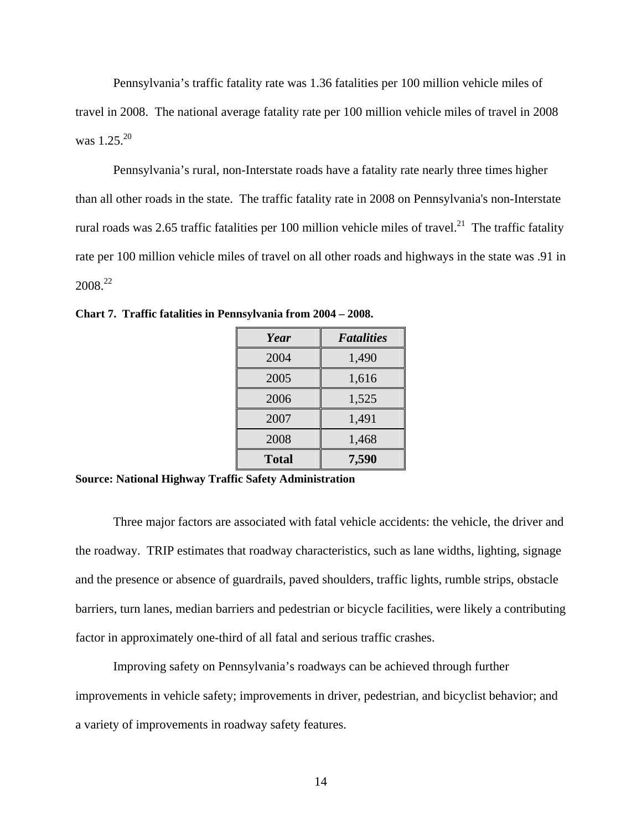Pennsylvania's traffic fatality rate was 1.36 fatalities per 100 million vehicle miles of travel in 2008. The national average fatality rate per 100 million vehicle miles of travel in 2008 was  $1.25^{20}$ 

Pennsylvania's rural, non-Interstate roads have a fatality rate nearly three times higher than all other roads in the state. The traffic fatality rate in 2008 on Pennsylvania's non-Interstate rural roads was 2.65 traffic fatalities per 100 million vehicle miles of travel.<sup>21</sup> The traffic fatality rate per 100 million vehicle miles of travel on all other roads and highways in the state was .91 in  $2008.<sup>22</sup>$ 

| Year         | <b>Fatalities</b> |
|--------------|-------------------|
| 2004         | 1,490             |
| 2005         | 1,616             |
| 2006         | 1,525             |
| 2007         | 1,491             |
| 2008         | 1,468             |
| <b>Total</b> | 7,590             |

**Chart 7. Traffic fatalities in Pennsylvania from 2004 – 2008.**

**Source: National Highway Traffic Safety Administration** 

Three major factors are associated with fatal vehicle accidents: the vehicle, the driver and the roadway. TRIP estimates that roadway characteristics, such as lane widths, lighting, signage and the presence or absence of guardrails, paved shoulders, traffic lights, rumble strips, obstacle barriers, turn lanes, median barriers and pedestrian or bicycle facilities, were likely a contributing factor in approximately one-third of all fatal and serious traffic crashes.

Improving safety on Pennsylvania's roadways can be achieved through further improvements in vehicle safety; improvements in driver, pedestrian, and bicyclist behavior; and a variety of improvements in roadway safety features.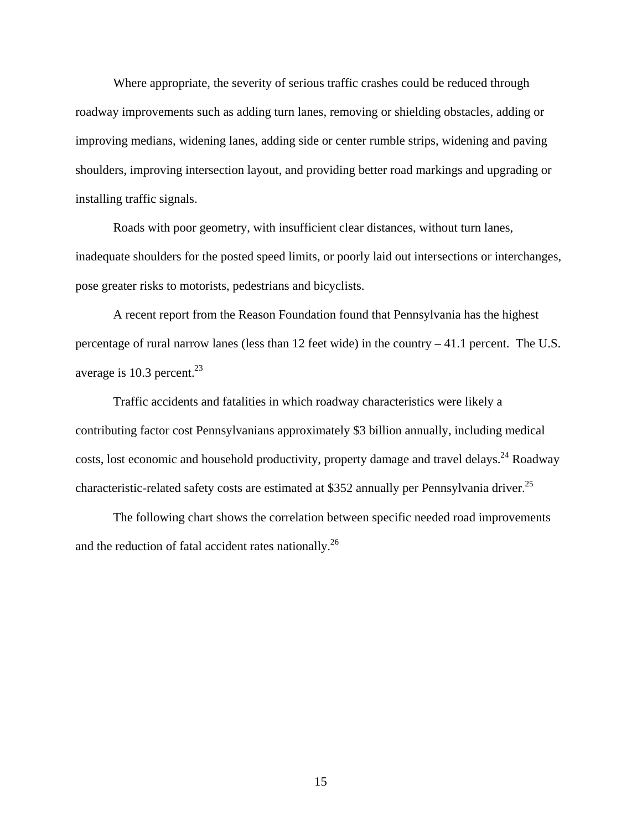Where appropriate, the severity of serious traffic crashes could be reduced through roadway improvements such as adding turn lanes, removing or shielding obstacles, adding or improving medians, widening lanes, adding side or center rumble strips, widening and paving shoulders, improving intersection layout, and providing better road markings and upgrading or installing traffic signals.

Roads with poor geometry, with insufficient clear distances, without turn lanes, inadequate shoulders for the posted speed limits, or poorly laid out intersections or interchanges, pose greater risks to motorists, pedestrians and bicyclists.

A recent report from the Reason Foundation found that Pennsylvania has the highest percentage of rural narrow lanes (less than 12 feet wide) in the country  $-41.1$  percent. The U.S. average is  $10.3$  percent.<sup>23</sup>

Traffic accidents and fatalities in which roadway characteristics were likely a contributing factor cost Pennsylvanians approximately \$3 billion annually, including medical costs, lost economic and household productivity, property damage and travel delays.<sup>24</sup> Roadway characteristic-related safety costs are estimated at \$352 annually per Pennsylvania driver.<sup>25</sup>

The following chart shows the correlation between specific needed road improvements and the reduction of fatal accident rates nationally.26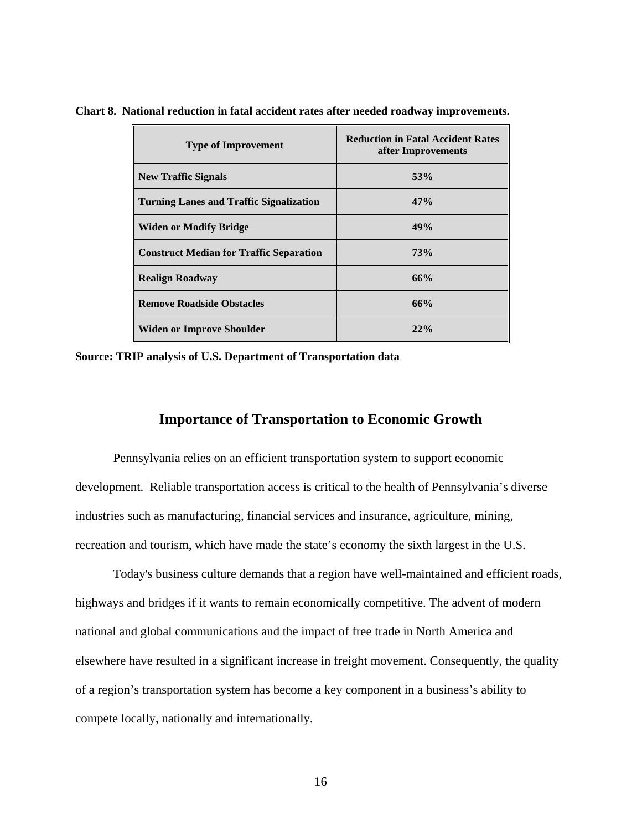| <b>Type of Improvement</b>                     | <b>Reduction in Fatal Accident Rates</b><br>after Improvements |
|------------------------------------------------|----------------------------------------------------------------|
| <b>New Traffic Signals</b>                     | 53%                                                            |
| <b>Turning Lanes and Traffic Signalization</b> | 47%                                                            |
| <b>Widen or Modify Bridge</b>                  | 49%                                                            |
| <b>Construct Median for Traffic Separation</b> | 73%                                                            |
| <b>Realign Roadway</b>                         | 66%                                                            |
| <b>Remove Roadside Obstacles</b>               | 66%                                                            |
| <b>Widen or Improve Shoulder</b>               | 22%                                                            |

**Chart 8. National reduction in fatal accident rates after needed roadway improvements.** 

**Source: TRIP analysis of U.S. Department of Transportation data** 

#### **Importance of Transportation to Economic Growth**

Pennsylvania relies on an efficient transportation system to support economic development. Reliable transportation access is critical to the health of Pennsylvania's diverse industries such as manufacturing, financial services and insurance, agriculture, mining, recreation and tourism, which have made the state's economy the sixth largest in the U.S.

Today's business culture demands that a region have well-maintained and efficient roads, highways and bridges if it wants to remain economically competitive. The advent of modern national and global communications and the impact of free trade in North America and elsewhere have resulted in a significant increase in freight movement. Consequently, the quality of a region's transportation system has become a key component in a business's ability to compete locally, nationally and internationally.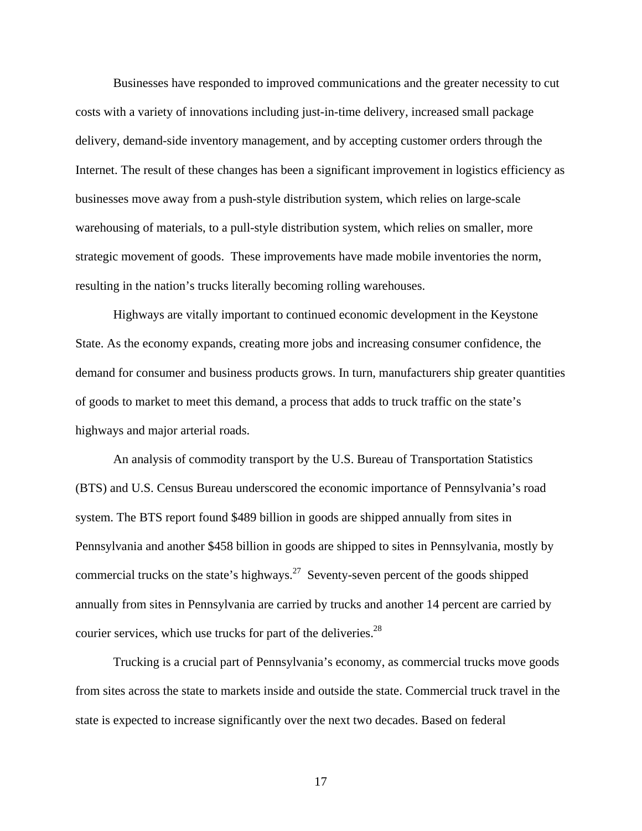Businesses have responded to improved communications and the greater necessity to cut costs with a variety of innovations including just-in-time delivery, increased small package delivery, demand-side inventory management, and by accepting customer orders through the Internet. The result of these changes has been a significant improvement in logistics efficiency as businesses move away from a push-style distribution system, which relies on large-scale warehousing of materials, to a pull-style distribution system, which relies on smaller, more strategic movement of goods. These improvements have made mobile inventories the norm, resulting in the nation's trucks literally becoming rolling warehouses.

Highways are vitally important to continued economic development in the Keystone State. As the economy expands, creating more jobs and increasing consumer confidence, the demand for consumer and business products grows. In turn, manufacturers ship greater quantities of goods to market to meet this demand, a process that adds to truck traffic on the state's highways and major arterial roads.

An analysis of commodity transport by the U.S. Bureau of Transportation Statistics (BTS) and U.S. Census Bureau underscored the economic importance of Pennsylvania's road system. The BTS report found \$489 billion in goods are shipped annually from sites in Pennsylvania and another \$458 billion in goods are shipped to sites in Pennsylvania, mostly by commercial trucks on the state's highways.<sup>27</sup> Seventy-seven percent of the goods shipped annually from sites in Pennsylvania are carried by trucks and another 14 percent are carried by courier services, which use trucks for part of the deliveries.<sup>28</sup>

 Trucking is a crucial part of Pennsylvania's economy, as commercial trucks move goods from sites across the state to markets inside and outside the state. Commercial truck travel in the state is expected to increase significantly over the next two decades. Based on federal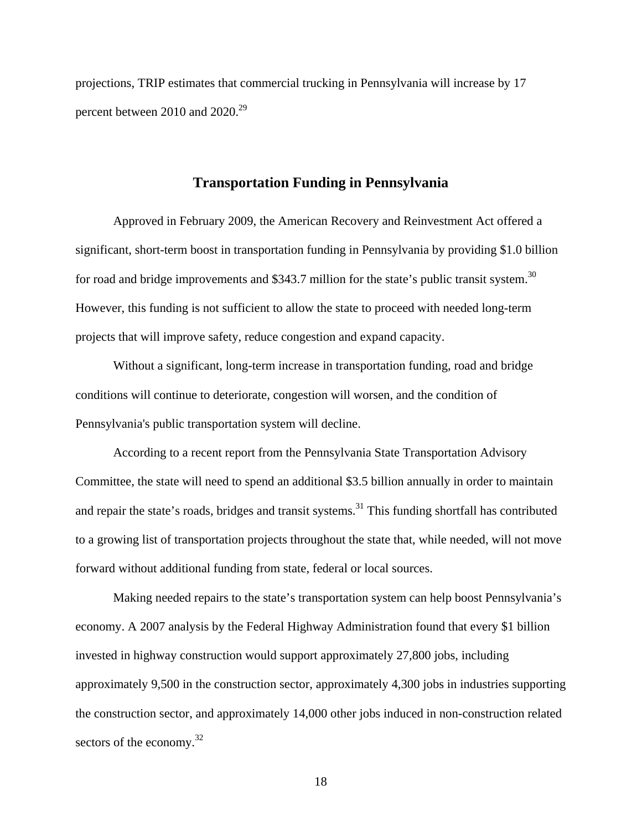projections, TRIP estimates that commercial trucking in Pennsylvania will increase by 17 percent between 2010 and 2020.29

#### **Transportation Funding in Pennsylvania**

Approved in February 2009, the American Recovery and Reinvestment Act offered a significant, short-term boost in transportation funding in Pennsylvania by providing \$1.0 billion for road and bridge improvements and \$343.7 million for the state's public transit system.<sup>30</sup> However, this funding is not sufficient to allow the state to proceed with needed long-term projects that will improve safety, reduce congestion and expand capacity.

Without a significant, long-term increase in transportation funding, road and bridge conditions will continue to deteriorate, congestion will worsen, and the condition of Pennsylvania's public transportation system will decline.

According to a recent report from the Pennsylvania State Transportation Advisory Committee, the state will need to spend an additional \$3.5 billion annually in order to maintain and repair the state's roads, bridges and transit systems.<sup>31</sup> This funding shortfall has contributed to a growing list of transportation projects throughout the state that, while needed, will not move forward without additional funding from state, federal or local sources.

Making needed repairs to the state's transportation system can help boost Pennsylvania's economy. A 2007 analysis by the Federal Highway Administration found that every \$1 billion invested in highway construction would support approximately 27,800 jobs, including approximately 9,500 in the construction sector, approximately 4,300 jobs in industries supporting the construction sector, and approximately 14,000 other jobs induced in non-construction related sectors of the economy. $32$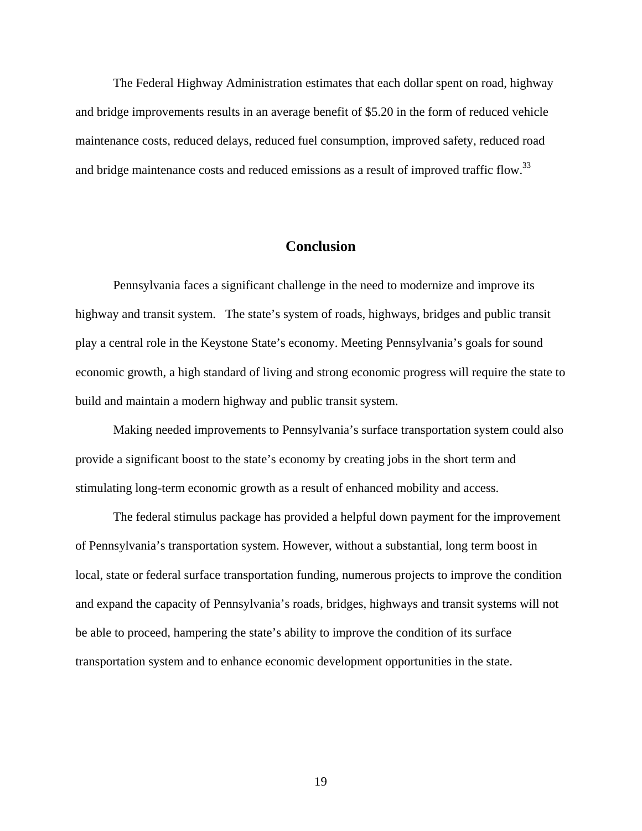The Federal Highway Administration estimates that each dollar spent on road, highway and bridge improvements results in an average benefit of \$5.20 in the form of reduced vehicle maintenance costs, reduced delays, reduced fuel consumption, improved safety, reduced road and bridge maintenance costs and reduced emissions as a result of improved traffic flow.<sup>33</sup>

# **Conclusion**

 Pennsylvania faces a significant challenge in the need to modernize and improve its highway and transit system. The state's system of roads, highways, bridges and public transit play a central role in the Keystone State's economy. Meeting Pennsylvania's goals for sound economic growth, a high standard of living and strong economic progress will require the state to build and maintain a modern highway and public transit system.

 Making needed improvements to Pennsylvania's surface transportation system could also provide a significant boost to the state's economy by creating jobs in the short term and stimulating long-term economic growth as a result of enhanced mobility and access.

The federal stimulus package has provided a helpful down payment for the improvement of Pennsylvania's transportation system. However, without a substantial, long term boost in local, state or federal surface transportation funding, numerous projects to improve the condition and expand the capacity of Pennsylvania's roads, bridges, highways and transit systems will not be able to proceed, hampering the state's ability to improve the condition of its surface transportation system and to enhance economic development opportunities in the state.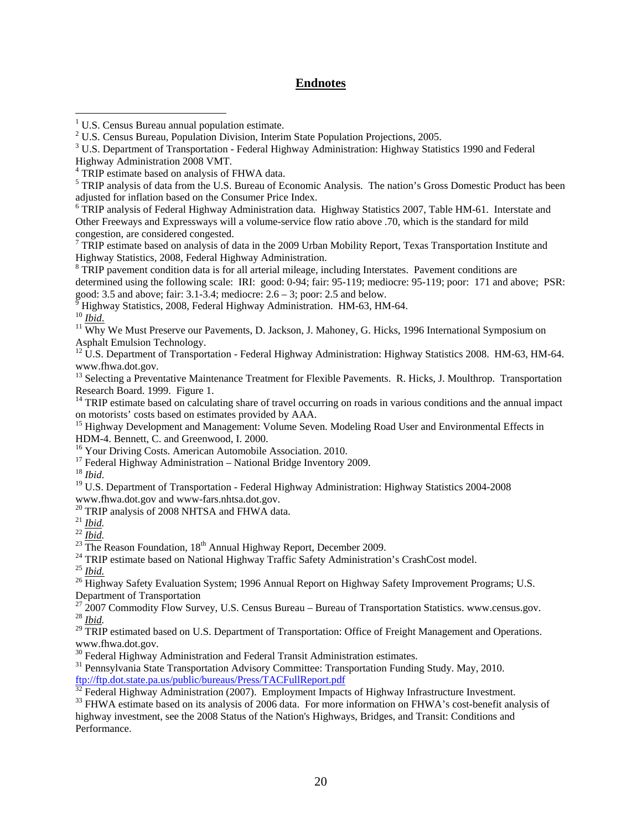#### **Endnotes**

<sup>5</sup> TRIP analysis of data from the U.S. Bureau of Economic Analysis. The nation's Gross Domestic Product has been adjusted for inflation based on the Consumer Price Index.

<sup>6</sup> TRIP analysis of Federal Highway Administration data. Highway Statistics 2007, Table HM-61. Interstate and Other Freeways and Expressways will a volume-service flow ratio above .70, which is the standard for mild congestion, are considered congested.

 $7$  TRIP estimate based on analysis of data in the 2009 Urban Mobility Report, Texas Transportation Institute and Highway Statistics, 2008, Federal Highway Administration.

<sup>8</sup> TRIP pavement condition data is for all arterial mileage, including Interstates. Pavement conditions are determined using the following scale: IRI: good: 0-94; fair: 95-119; mediocre: 95-119; poor: 171 and above; PSR:

good: 3.5 and above; fair: 3.1-3.4; mediocre:  $2.6 - 3$ ; poor: 2.5 and below.<br><sup>9</sup> Highway Statistics, 2008, Federal Highway Administration, HM 63, HM  $\frac{6}{9}$  Highway Statistics, 2008, Federal Highway Administration. HM-63, HM-64.<br><sup>10</sup> *Ibid.* 

 $\overline{a}$ 

<sup>11</sup> Why We Must Preserve our Pavements, D. Jackson, J. Mahoney, G. Hicks, 1996 International Symposium on Asphalt Emulsion Technology.

<sup>12</sup> U.S. Department of Transportation - Federal Highway Administration: Highway Statistics 2008. HM-63, HM-64. www.fhwa.dot.gov.

<sup>13</sup> Selecting a Preventative Maintenance Treatment for Flexible Pavements. R. Hicks, J. Moulthrop. Transportation Research Board. 1999. Figure 1.

<sup>14</sup> TRIP estimate based on calculating share of travel occurring on roads in various conditions and the annual impact on motorists' costs based on estimates provided by AAA.<br><sup>15</sup> Highway Development and Management: Volume Seven. Modeling Road User and Environmental Effects in

HDM-4. Bennett, C. and Greenwood, I. 2000.

<sup>16</sup> Your Driving Costs. American Automobile Association. 2010.

<sup>17</sup> Federal Highway Administration – National Bridge Inventory 2009.

<sup>18</sup> *Ibid.* 

<sup>19</sup> U.S. Department of Transportation - Federal Highway Administration: Highway Statistics 2004-2008 www.fhwa.dot.gov and www-fars.nhtsa.dot.gov.

<sup>20</sup> TRIP analysis of 2008 NHTSA and FHWA data.<sup>21</sup> *Ibid.* 

<sup>22</sup> *Ibid.*<br><sup>23</sup> The Reason Foundation, 18<sup>th</sup> Annual Highway Report, December 2009.<br><sup>24</sup> TRIP estimate based on National Highway Traffic Safety Administration's CrashCost model.<br><sup>25</sup> *Ibid.*<br><sup>26</sup> Highway Safety Evaluati

Department of Transportation<br><sup>27</sup> 2007 Commodity Flow Survey, U.S. Census Bureau – Bureau of Transportation Statistics. www.census.gov.  $\frac{^{28}}{^{29}}$   $\frac{Ibid.}{TRIP}$  estimated based on U.S. Department of Transportation: Office of Freight Management and Operations.

www.fhwa.dot.gov.

 $30$  Federal Highway Administration and Federal Transit Administration estimates.

<sup>31</sup> Pennsylvania State Transportation Advisory Committee: Transportation Funding Study. May, 2010. ftp://ftp.dot.state.pa.us/public/bureaus/Press/TACFullReport.pdf<br><sup>32</sup> Federal Highway Administration (2007). Employment Impacts of Highway Infrastructure Investment.

<sup>33</sup> FHWA estimate based on its analysis of 2006 data. For more information on FHWA's cost-benefit analysis of highway investment, see the 2008 Status of the Nation's Highways, Bridges, and Transit: Conditions and Performance.

<sup>&</sup>lt;sup>1</sup> U.S. Census Bureau annual population estimate.

<sup>&</sup>lt;sup>2</sup> U.S. Census Bureau, Population Division, Interim State Population Projections, 2005.

 $3$  U.S. Department of Transportation - Federal Highway Administration: Highway Statistics 1990 and Federal Highway Administration 2008 VMT.

<sup>&</sup>lt;sup>4</sup> TRIP estimate based on analysis of FHWA data.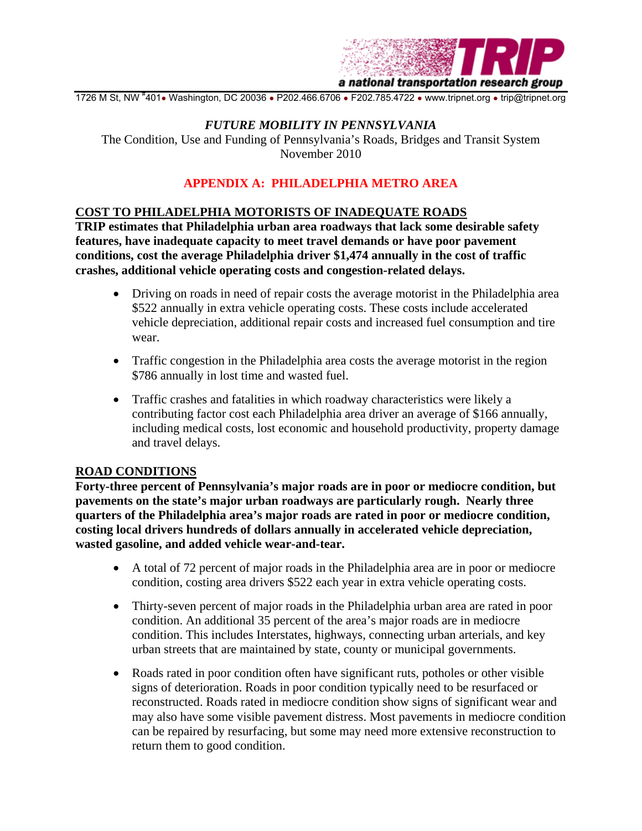

1726 M St, NW #401• Washington, DC 20036 • P202.466.6706 • F202.785.4722 • www.tripnet.org • trip@tripnet.org

#### *FUTURE MOBILITY IN PENNSYLVANIA*

The Condition, Use and Funding of Pennsylvania's Roads, Bridges and Transit System November 2010

# **APPENDIX A: PHILADELPHIA METRO AREA**

#### **COST TO PHILADELPHIA MOTORISTS OF INADEQUATE ROADS**

**TRIP estimates that Philadelphia urban area roadways that lack some desirable safety features, have inadequate capacity to meet travel demands or have poor pavement conditions, cost the average Philadelphia driver \$1,474 annually in the cost of traffic crashes, additional vehicle operating costs and congestion-related delays.** 

- Driving on roads in need of repair costs the average motorist in the Philadelphia area \$522 annually in extra vehicle operating costs. These costs include accelerated vehicle depreciation, additional repair costs and increased fuel consumption and tire wear.
- Traffic congestion in the Philadelphia area costs the average motorist in the region \$786 annually in lost time and wasted fuel.
- Traffic crashes and fatalities in which roadway characteristics were likely a contributing factor cost each Philadelphia area driver an average of \$166 annually, including medical costs, lost economic and household productivity, property damage and travel delays.

#### **ROAD CONDITIONS**

**Forty-three percent of Pennsylvania's major roads are in poor or mediocre condition, but pavements on the state's major urban roadways are particularly rough. Nearly three quarters of the Philadelphia area's major roads are rated in poor or mediocre condition, costing local drivers hundreds of dollars annually in accelerated vehicle depreciation, wasted gasoline, and added vehicle wear-and-tear.** 

- A total of 72 percent of major roads in the Philadelphia area are in poor or mediocre condition, costing area drivers \$522 each year in extra vehicle operating costs.
- Thirty-seven percent of major roads in the Philadelphia urban area are rated in poor condition. An additional 35 percent of the area's major roads are in mediocre condition. This includes Interstates, highways, connecting urban arterials, and key urban streets that are maintained by state, county or municipal governments.
- Roads rated in poor condition often have significant ruts, potholes or other visible signs of deterioration. Roads in poor condition typically need to be resurfaced or reconstructed. Roads rated in mediocre condition show signs of significant wear and may also have some visible pavement distress. Most pavements in mediocre condition can be repaired by resurfacing, but some may need more extensive reconstruction to return them to good condition.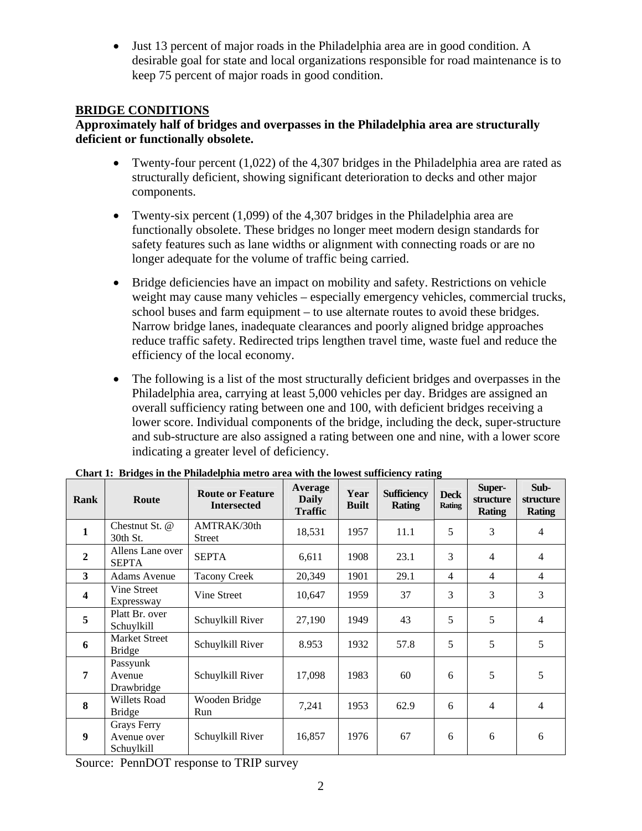• Just 13 percent of major roads in the Philadelphia area are in good condition. A desirable goal for state and local organizations responsible for road maintenance is to keep 75 percent of major roads in good condition.

# **BRIDGE CONDITIONS**

#### **Approximately half of bridges and overpasses in the Philadelphia area are structurally deficient or functionally obsolete.**

- Twenty-four percent  $(1.022)$  of the 4.307 bridges in the Philadelphia area are rated as structurally deficient, showing significant deterioration to decks and other major components.
- Twenty-six percent (1,099) of the 4,307 bridges in the Philadelphia area are functionally obsolete. These bridges no longer meet modern design standards for safety features such as lane widths or alignment with connecting roads or are no longer adequate for the volume of traffic being carried.
- Bridge deficiencies have an impact on mobility and safety. Restrictions on vehicle weight may cause many vehicles – especially emergency vehicles, commercial trucks, school buses and farm equipment – to use alternate routes to avoid these bridges. Narrow bridge lanes, inadequate clearances and poorly aligned bridge approaches reduce traffic safety. Redirected trips lengthen travel time, waste fuel and reduce the efficiency of the local economy.
- The following is a list of the most structurally deficient bridges and overpasses in the Philadelphia area, carrying at least 5,000 vehicles per day. Bridges are assigned an overall sufficiency rating between one and 100, with deficient bridges receiving a lower score. Individual components of the bridge, including the deck, super-structure and sub-structure are also assigned a rating between one and nine, with a lower score indicating a greater level of deficiency.

| Rank                    | Route                                    | <b>Route or Feature</b><br><b>Intersected</b> | Average<br><b>Daily</b><br><b>Traffic</b> | Year<br><b>Built</b> | <b>Sufficiency</b><br><b>Rating</b> | <b>Deck</b><br><b>Rating</b> | Super-<br>structure<br><b>Rating</b> | Sub-<br>structure<br><b>Rating</b> |
|-------------------------|------------------------------------------|-----------------------------------------------|-------------------------------------------|----------------------|-------------------------------------|------------------------------|--------------------------------------|------------------------------------|
| $\mathbf{1}$            | Chestnut St. $@$<br>30th St.             | AMTRAK/30th<br><b>Street</b>                  | 18,531                                    | 1957                 | 11.1                                | 5                            | 3                                    | $\overline{4}$                     |
| $\boldsymbol{2}$        | Allens Lane over<br><b>SEPTA</b>         | <b>SEPTA</b>                                  | 6,611                                     | 1908                 | 23.1                                | 3                            | $\overline{4}$                       | 4                                  |
| 3                       | <b>Adams Avenue</b>                      | <b>Tacony Creek</b>                           | 20,349                                    | 1901                 | 29.1                                | $\overline{4}$               | $\overline{4}$                       | $\overline{4}$                     |
| $\overline{\mathbf{4}}$ | Vine Street<br>Expressway                | Vine Street                                   | 10,647                                    | 1959                 | 37                                  | 3                            | 3                                    | 3                                  |
| 5                       | Platt Br. over<br>Schuylkill             | Schuylkill River                              | 27,190                                    | 1949                 | 43                                  | 5                            | 5                                    | $\overline{4}$                     |
| 6                       | <b>Market Street</b><br><b>Bridge</b>    | Schuylkill River                              | 8.953                                     | 1932                 | 57.8                                | 5                            | 5                                    | 5                                  |
| $\overline{7}$          | Passyunk<br>Avenue<br>Drawbridge         | Schuylkill River                              | 17,098                                    | 1983                 | 60                                  | 6                            | 5                                    | 5                                  |
| 8                       | <b>Willets Road</b><br><b>Bridge</b>     | Wooden Bridge<br>Run                          | 7,241                                     | 1953                 | 62.9                                | 6                            | $\overline{4}$                       | $\overline{4}$                     |
| $\boldsymbol{9}$        | Grays Ferry<br>Avenue over<br>Schuylkill | Schuylkill River                              | 16,857                                    | 1976                 | 67                                  | 6                            | 6                                    | 6                                  |

**Chart 1: Bridges in the Philadelphia metro area with the lowest sufficiency rating**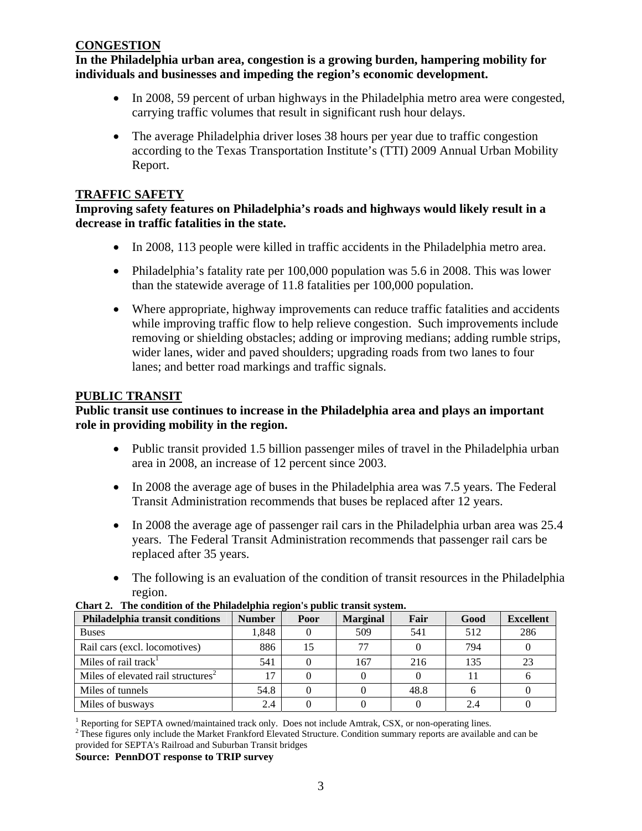#### **CONGESTION**

**In the Philadelphia urban area, congestion is a growing burden, hampering mobility for individuals and businesses and impeding the region's economic development.** 

- In 2008, 59 percent of urban highways in the Philadelphia metro area were congested, carrying traffic volumes that result in significant rush hour delays.
- The average Philadelphia driver loses 38 hours per year due to traffic congestion according to the Texas Transportation Institute's (TTI) 2009 Annual Urban Mobility Report.

#### **TRAFFIC SAFETY**

**Improving safety features on Philadelphia's roads and highways would likely result in a decrease in traffic fatalities in the state.** 

- In 2008, 113 people were killed in traffic accidents in the Philadelphia metro area.
- Philadelphia's fatality rate per 100,000 population was 5.6 in 2008. This was lower than the statewide average of 11.8 fatalities per 100,000 population.
- Where appropriate, highway improvements can reduce traffic fatalities and accidents while improving traffic flow to help relieve congestion. Such improvements include removing or shielding obstacles; adding or improving medians; adding rumble strips, wider lanes, wider and paved shoulders; upgrading roads from two lanes to four lanes; and better road markings and traffic signals.

#### **PUBLIC TRANSIT**

#### **Public transit use continues to increase in the Philadelphia area and plays an important role in providing mobility in the region.**

- Public transit provided 1.5 billion passenger miles of travel in the Philadelphia urban area in 2008, an increase of 12 percent since 2003.
- In 2008 the average age of buses in the Philadelphia area was 7.5 years. The Federal Transit Administration recommends that buses be replaced after 12 years.
- In 2008 the average age of passenger rail cars in the Philadelphia urban area was 25.4 years. The Federal Transit Administration recommends that passenger rail cars be replaced after 35 years.
- The following is an evaluation of the condition of transit resources in the Philadelphia region.

| Philadelphia transit conditions                   | <b>Number</b> | Poor | <b>Marginal</b> | Fair | Good | <b>Excellent</b> |
|---------------------------------------------------|---------------|------|-----------------|------|------|------------------|
| <b>Buses</b>                                      | 1.848         |      | 509             | 541  | 512  | 286              |
| Rail cars (excl. locomotives)                     | 886           | 15   | 77              |      | 794  |                  |
| Miles of rail track <sup><math>\perp</math></sup> | 541           |      | 167             | 216  | 135  | 23               |
| Miles of elevated rail structures <sup>2</sup>    | 17            |      |                 |      |      |                  |
| Miles of tunnels                                  | 54.8          |      |                 | 48.8 |      |                  |
| Miles of busways                                  | 2.4           |      |                 |      | 2.4  |                  |

#### **Chart 2. The condition of the Philadelphia region's public transit system.**

<sup>1</sup> Reporting for SEPTA owned/maintained track only. Does not include Amtrak, CSX, or non-operating lines.

 $2$  These figures only include the Market Frankford Elevated Structure. Condition summary reports are available and can be provided for SEPTA's Railroad and Suburban Transit bridges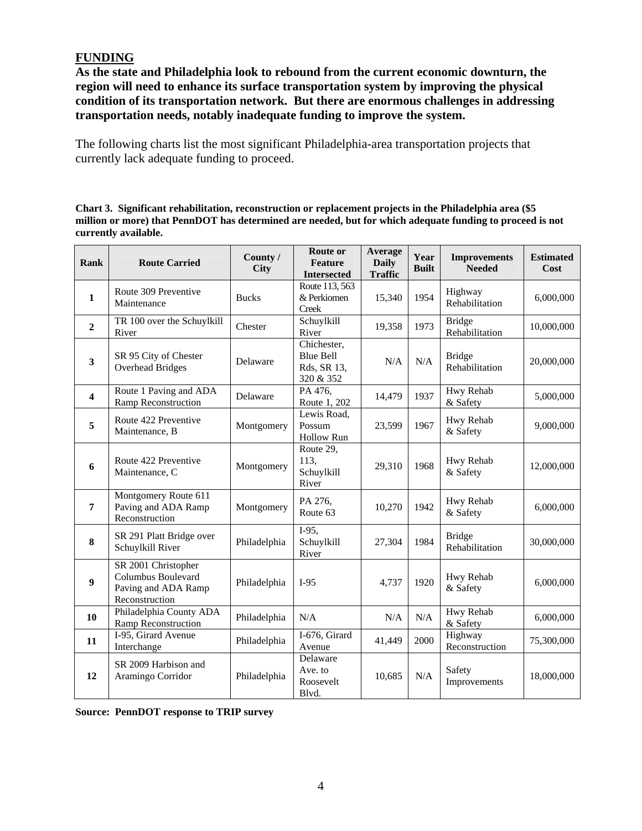# **FUNDING**

**As the state and Philadelphia look to rebound from the current economic downturn, the region will need to enhance its surface transportation system by improving the physical condition of its transportation network. But there are enormous challenges in addressing transportation needs, notably inadequate funding to improve the system.** 

The following charts list the most significant Philadelphia-area transportation projects that currently lack adequate funding to proceed.

**Chart 3. Significant rehabilitation, reconstruction or replacement projects in the Philadelphia area (\$5 million or more) that PennDOT has determined are needed, but for which adequate funding to proceed is not currently available.** 

| Rank             | <b>Route Carried</b>                                                               | County /<br><b>City</b> | Route or<br><b>Feature</b><br><b>Intersected</b>            | Average<br><b>Daily</b><br><b>Traffic</b> | Year<br><b>Built</b> | <b>Improvements</b><br><b>Needed</b> | <b>Estimated</b><br>Cost |
|------------------|------------------------------------------------------------------------------------|-------------------------|-------------------------------------------------------------|-------------------------------------------|----------------------|--------------------------------------|--------------------------|
| $\mathbf{1}$     | Route 309 Preventive<br>Maintenance                                                | <b>Bucks</b>            | Route 113, 563<br>& Perkiomen<br><b>Creek</b>               | 15,340                                    | 1954                 | Highway<br>Rehabilitation            | 6,000,000                |
| $\overline{2}$   | TR 100 over the Schuylkill<br>River                                                | Chester                 | Schuylkill<br>River                                         | 19,358                                    | 1973                 | <b>Bridge</b><br>Rehabilitation      | 10,000,000               |
| $\mathbf{3}$     | SR 95 City of Chester<br><b>Overhead Bridges</b>                                   | Delaware                | Chichester,<br><b>Blue Bell</b><br>Rds, SR 13,<br>320 & 352 | N/A                                       | N/A                  | <b>Bridge</b><br>Rehabilitation      | 20,000,000               |
| 4                | Route 1 Paving and ADA<br>Ramp Reconstruction                                      | Delaware                | PA 476,<br>Route 1, 202                                     | 14,479                                    | 1937                 | Hwy Rehab<br>& Safety                | 5,000,000                |
| 5                | Route 422 Preventive<br>Maintenance, B                                             | Montgomery              | Lewis Road,<br>Possum<br><b>Hollow Run</b>                  | 23,599                                    | 1967                 | Hwy Rehab<br>& Safety                | 9,000,000                |
| 6                | Route 422 Preventive<br>Maintenance, C                                             | Montgomery              | Route 29,<br>113,<br>Schuylkill<br>River                    | 29,310                                    | 1968                 | Hwy Rehab<br>& Safety                | 12,000,000               |
| $\overline{7}$   | Montgomery Route 611<br>Paving and ADA Ramp<br>Reconstruction                      | Montgomery              | PA 276,<br>Route 63                                         | 10,270                                    | 1942                 | Hwy Rehab<br>& Safety                | 6,000,000                |
| 8                | SR 291 Platt Bridge over<br>Schuylkill River                                       | Philadelphia            | $I-95,$<br>Schuylkill<br>River                              | 27,304                                    | 1984                 | <b>Bridge</b><br>Rehabilitation      | 30,000,000               |
| $\boldsymbol{9}$ | SR 2001 Christopher<br>Columbus Boulevard<br>Paving and ADA Ramp<br>Reconstruction | Philadelphia            | $I-95$                                                      | 4,737                                     | 1920                 | Hwy Rehab<br>& Safety                | 6,000,000                |
| 10               | Philadelphia County ADA<br>Ramp Reconstruction                                     | Philadelphia            | N/A                                                         | N/A                                       | N/A                  | Hwy Rehab<br>& Safety                | 6,000,000                |
| 11               | I-95, Girard Avenue<br>Interchange                                                 | Philadelphia            | I-676, Girard<br>Avenue                                     | 41,449                                    | 2000                 | Highway<br>Reconstruction            | 75,300,000               |
| 12               | SR 2009 Harbison and<br>Aramingo Corridor                                          | Philadelphia            | Delaware<br>Ave. to<br>Roosevelt<br>Blvd.                   | 10,685                                    | N/A                  | Safety<br>Improvements               | 18,000,000               |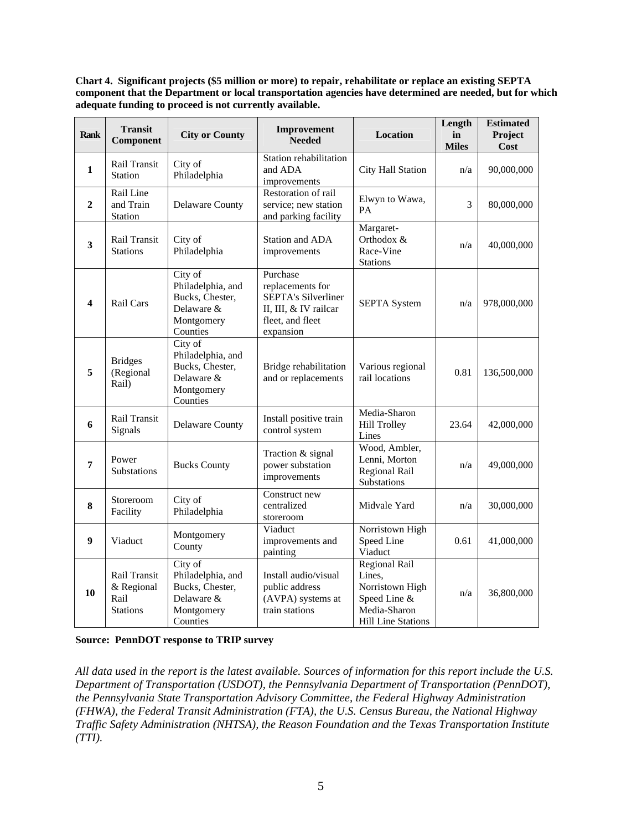**Chart 4. Significant projects (\$5 million or more) to repair, rehabilitate or replace an existing SEPTA component that the Department or local transportation agencies have determined are needed, but for which adequate funding to proceed is not currently available.** 

| <b>Rank</b>             | <b>Transit</b><br><b>Component</b>                    | <b>City or County</b>                                                                   | Improvement<br><b>Needed</b>                                                                                         | <b>Location</b>                                                                                         | Length<br>in<br><b>Miles</b> | <b>Estimated</b><br>Project<br>Cost |
|-------------------------|-------------------------------------------------------|-----------------------------------------------------------------------------------------|----------------------------------------------------------------------------------------------------------------------|---------------------------------------------------------------------------------------------------------|------------------------------|-------------------------------------|
| $\mathbf{1}$            | Rail Transit<br><b>Station</b>                        | City of<br>Philadelphia                                                                 | Station rehabilitation<br>and ADA<br>improvements                                                                    | City Hall Station                                                                                       | n/a                          | 90,000,000                          |
| $\overline{2}$          | Rail Line<br>and Train<br><b>Station</b>              | <b>Delaware County</b>                                                                  | Restoration of rail<br>service; new station<br>and parking facility                                                  | Elwyn to Wawa,<br>PA                                                                                    | 3                            | 80,000,000                          |
| 3                       | Rail Transit<br><b>Stations</b>                       | City of<br>Philadelphia                                                                 | Station and ADA<br>improvements                                                                                      | Margaret-<br>Orthodox &<br>Race-Vine<br><b>Stations</b>                                                 | n/a                          | 40,000,000                          |
| $\overline{\mathbf{4}}$ | Rail Cars                                             | City of<br>Philadelphia, and<br>Bucks, Chester,<br>Delaware &<br>Montgomery<br>Counties | Purchase<br>replacements for<br><b>SEPTA's Silverliner</b><br>II, III, & IV railcar<br>fleet, and fleet<br>expansion | <b>SEPTA System</b>                                                                                     | n/a                          | 978,000,000                         |
| 5                       | <b>Bridges</b><br>(Regional<br>Rail)                  | City of<br>Philadelphia, and<br>Bucks, Chester,<br>Delaware &<br>Montgomery<br>Counties | Bridge rehabilitation<br>and or replacements                                                                         | Various regional<br>rail locations                                                                      | 0.81                         | 136,500,000                         |
| 6                       | Rail Transit<br>Signals                               | <b>Delaware County</b>                                                                  | Install positive train<br>control system                                                                             | Media-Sharon<br><b>Hill Trolley</b><br>Lines                                                            | 23.64                        | 42,000,000                          |
| 7                       | Power<br>Substations                                  | <b>Bucks County</b>                                                                     | Traction & signal<br>power substation<br>improvements                                                                | Wood, Ambler,<br>Lenni, Morton<br>Regional Rail<br>Substations                                          | n/a                          | 49,000,000                          |
| 8                       | Storeroom<br>Facility                                 | City of<br>Philadelphia                                                                 | Construct new<br>centralized<br>storeroom                                                                            | Midvale Yard                                                                                            | n/a                          | 30,000,000                          |
| 9                       | Viaduct                                               | Montgomery<br>County                                                                    | Viaduct<br>improvements and<br>painting                                                                              | Norristown High<br>Speed Line<br>Viaduct                                                                | 0.61                         | 41,000,000                          |
| 10                      | Rail Transit<br>& Regional<br>Rail<br><b>Stations</b> | City of<br>Philadelphia, and<br>Bucks, Chester,<br>Delaware &<br>Montgomery<br>Counties | Install audio/visual<br>public address<br>(AVPA) systems at<br>train stations                                        | Regional Rail<br>Lines,<br>Norristown High<br>Speed Line &<br>Media-Sharon<br><b>Hill Line Stations</b> | n/a                          | 36,800,000                          |

**Source: PennDOT response to TRIP survey** 

*All data used in the report is the latest available. Sources of information for this report include the U.S. Department of Transportation (USDOT), the Pennsylvania Department of Transportation (PennDOT), the Pennsylvania State Transportation Advisory Committee, the Federal Highway Administration (FHWA), the Federal Transit Administration (FTA), the U.S. Census Bureau, the National Highway Traffic Safety Administration (NHTSA), the Reason Foundation and the Texas Transportation Institute (TTI).*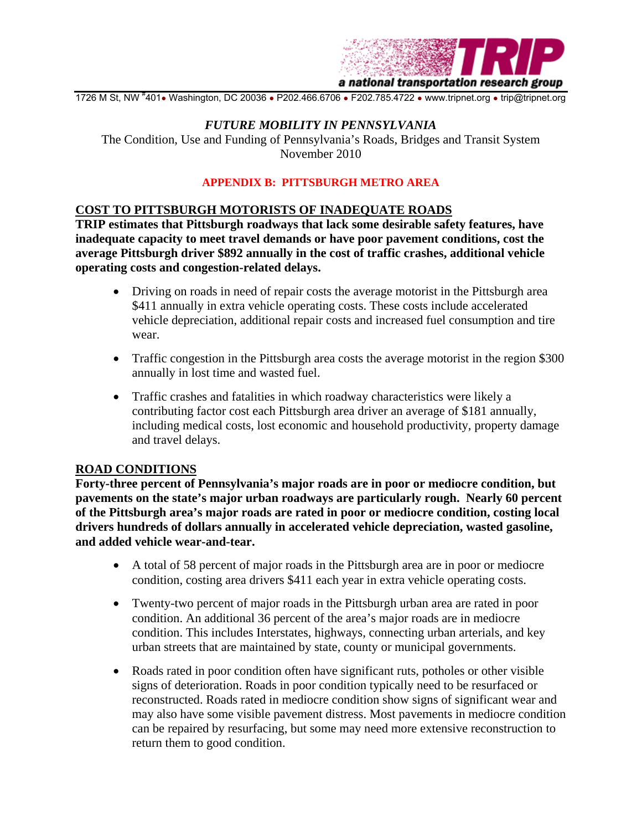

1726 M St, NW #401• Washington, DC 20036 • P202.466.6706 • F202.785.4722 • www.tripnet.org • trip@tripnet.org

#### *FUTURE MOBILITY IN PENNSYLVANIA*

The Condition, Use and Funding of Pennsylvania's Roads, Bridges and Transit System November 2010

#### **APPENDIX B: PITTSBURGH METRO AREA**

#### **COST TO PITTSBURGH MOTORISTS OF INADEQUATE ROADS**

**TRIP estimates that Pittsburgh roadways that lack some desirable safety features, have inadequate capacity to meet travel demands or have poor pavement conditions, cost the average Pittsburgh driver \$892 annually in the cost of traffic crashes, additional vehicle operating costs and congestion-related delays.** 

- Driving on roads in need of repair costs the average motorist in the Pittsburgh area \$411 annually in extra vehicle operating costs. These costs include accelerated vehicle depreciation, additional repair costs and increased fuel consumption and tire wear.
- Traffic congestion in the Pittsburgh area costs the average motorist in the region \$300 annually in lost time and wasted fuel.
- Traffic crashes and fatalities in which roadway characteristics were likely a contributing factor cost each Pittsburgh area driver an average of \$181 annually, including medical costs, lost economic and household productivity, property damage and travel delays.

#### **ROAD CONDITIONS**

**Forty-three percent of Pennsylvania's major roads are in poor or mediocre condition, but pavements on the state's major urban roadways are particularly rough. Nearly 60 percent of the Pittsburgh area's major roads are rated in poor or mediocre condition, costing local drivers hundreds of dollars annually in accelerated vehicle depreciation, wasted gasoline, and added vehicle wear-and-tear.** 

- A total of 58 percent of major roads in the Pittsburgh area are in poor or mediocre condition, costing area drivers \$411 each year in extra vehicle operating costs.
- Twenty-two percent of major roads in the Pittsburgh urban area are rated in poor condition. An additional 36 percent of the area's major roads are in mediocre condition. This includes Interstates, highways, connecting urban arterials, and key urban streets that are maintained by state, county or municipal governments.
- Roads rated in poor condition often have significant ruts, potholes or other visible signs of deterioration. Roads in poor condition typically need to be resurfaced or reconstructed. Roads rated in mediocre condition show signs of significant wear and may also have some visible pavement distress. Most pavements in mediocre condition can be repaired by resurfacing, but some may need more extensive reconstruction to return them to good condition.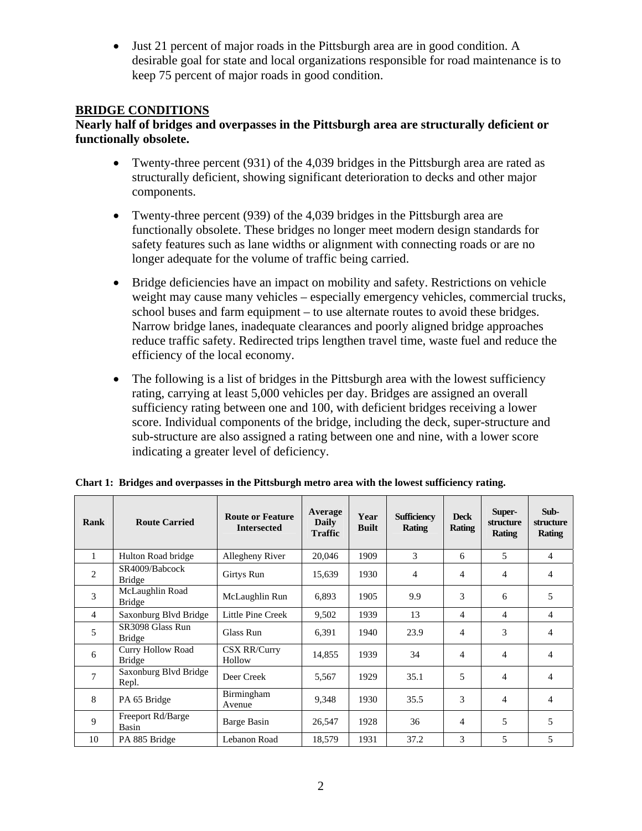• Just 21 percent of major roads in the Pittsburgh area are in good condition. A desirable goal for state and local organizations responsible for road maintenance is to keep 75 percent of major roads in good condition.

# **BRIDGE CONDITIONS**

#### **Nearly half of bridges and overpasses in the Pittsburgh area are structurally deficient or functionally obsolete.**

- Twenty-three percent (931) of the 4,039 bridges in the Pittsburgh area are rated as structurally deficient, showing significant deterioration to decks and other major components.
- Twenty-three percent (939) of the 4,039 bridges in the Pittsburgh area are functionally obsolete. These bridges no longer meet modern design standards for safety features such as lane widths or alignment with connecting roads or are no longer adequate for the volume of traffic being carried.
- Bridge deficiencies have an impact on mobility and safety. Restrictions on vehicle weight may cause many vehicles – especially emergency vehicles, commercial trucks, school buses and farm equipment – to use alternate routes to avoid these bridges. Narrow bridge lanes, inadequate clearances and poorly aligned bridge approaches reduce traffic safety. Redirected trips lengthen travel time, waste fuel and reduce the efficiency of the local economy.
- The following is a list of bridges in the Pittsburgh area with the lowest sufficiency rating, carrying at least 5,000 vehicles per day. Bridges are assigned an overall sufficiency rating between one and 100, with deficient bridges receiving a lower score. Individual components of the bridge, including the deck, super-structure and sub-structure are also assigned a rating between one and nine, with a lower score indicating a greater level of deficiency.

| Rank           | <b>Route Carried</b>                      | <b>Route or Feature</b><br><b>Intersected</b> | Average<br><b>Daily</b><br><b>Traffic</b> | Year<br><b>Built</b> | <b>Sufficiency</b><br>Rating | <b>Deck</b><br><b>Rating</b> | Super-<br>structure<br><b>Rating</b> | Sub-<br>structure<br>Rating |
|----------------|-------------------------------------------|-----------------------------------------------|-------------------------------------------|----------------------|------------------------------|------------------------------|--------------------------------------|-----------------------------|
| 1              | Hulton Road bridge                        | Allegheny River                               | 20,046                                    | 1909                 | 3                            | 6                            | 5                                    | 4                           |
| $\overline{2}$ | SR4009/Babcock<br><b>Bridge</b>           | Girtys Run                                    | 15,639                                    | 1930                 | 4                            | 4                            | 4                                    | $\overline{4}$              |
| 3              | McLaughlin Road<br><b>Bridge</b>          | McLaughlin Run                                | 6,893                                     | 1905                 | 9.9                          | 3                            | 6                                    | 5                           |
| $\overline{4}$ | Saxonburg Blvd Bridge                     | Little Pine Creek                             | 9,502                                     | 1939                 | 13                           | 4                            | 4                                    | $\overline{4}$              |
| 5              | SR3098 Glass Run<br><b>Bridge</b>         | Glass Run                                     | 6,391                                     | 1940                 | 23.9                         | 4                            | 3                                    | $\overline{4}$              |
| 6              | <b>Curry Hollow Road</b><br><b>Bridge</b> | <b>CSX RR/Curry</b><br>Hollow                 | 14,855                                    | 1939                 | 34                           | $\overline{4}$               | $\overline{4}$                       | $\overline{4}$              |
| 7              | Saxonburg Blvd Bridge<br>Repl.            | Deer Creek                                    | 5,567                                     | 1929                 | 35.1                         | 5                            | 4                                    | $\overline{4}$              |
| 8              | PA 65 Bridge                              | <b>Birmingham</b><br>Avenue                   | 9,348                                     | 1930                 | 35.5                         | 3                            | 4                                    | $\overline{4}$              |
| 9              | Freeport Rd/Barge<br>Basin                | Barge Basin                                   | 26,547                                    | 1928                 | 36                           | 4                            | 5                                    | 5                           |
| 10             | PA 885 Bridge                             | Lebanon Road                                  | 18,579                                    | 1931                 | 37.2                         | 3                            | 5                                    | 5                           |

**Chart 1: Bridges and overpasses in the Pittsburgh metro area with the lowest sufficiency rating.**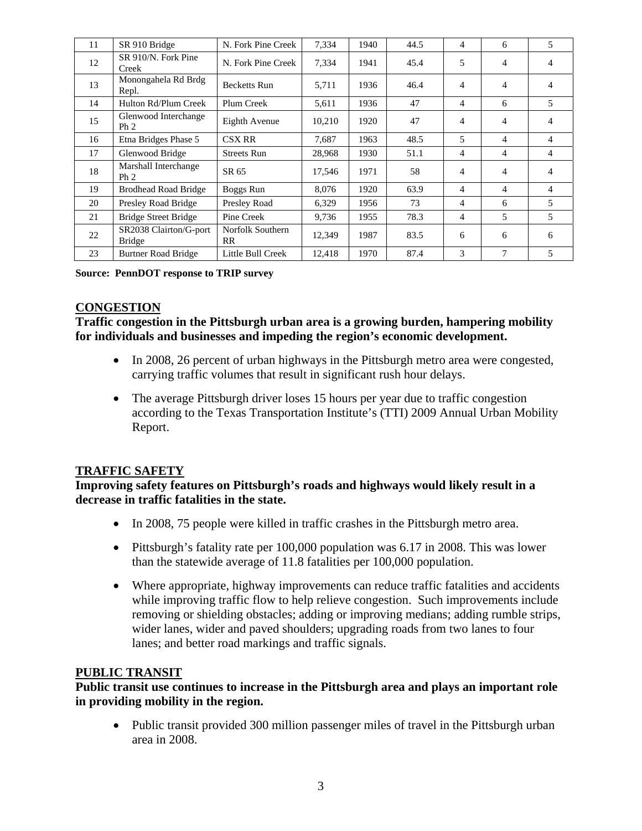| 11 | SR 910 Bridge                           | N. Fork Pine Creek            | 7,334  | 1940 | 44.5 | 4              | 6              | 5 |
|----|-----------------------------------------|-------------------------------|--------|------|------|----------------|----------------|---|
| 12 | SR 910/N. Fork Pine<br>Creek            | N. Fork Pine Creek            | 7,334  | 1941 | 45.4 | 5              | $\overline{4}$ | 4 |
| 13 | Monongahela Rd Brdg<br>Repl.            | <b>Becketts Run</b>           | 5,711  | 1936 | 46.4 | $\overline{4}$ | $\overline{4}$ | 4 |
| 14 | Hulton Rd/Plum Creek                    | Plum Creek                    | 5,611  | 1936 | 47   | $\overline{4}$ | 6              | 5 |
| 15 | Glenwood Interchange<br>Ph <sub>2</sub> | Eighth Avenue                 | 10,210 | 1920 | 47   | 4              | $\overline{4}$ | 4 |
| 16 | Etna Bridges Phase 5                    | <b>CSX RR</b>                 | 7,687  | 1963 | 48.5 | 5              | $\overline{4}$ | 4 |
| 17 | Glenwood Bridge                         | <b>Streets Run</b>            | 28,968 | 1930 | 51.1 | 4              | 4              | 4 |
| 18 | Marshall Interchange<br>Ph <sub>2</sub> | SR 65                         | 17,546 | 1971 | 58   | 4              | $\overline{4}$ | 4 |
| 19 | <b>Brodhead Road Bridge</b>             | Boggs Run                     | 8,076  | 1920 | 63.9 | 4              | $\overline{4}$ | 4 |
| 20 | Presley Road Bridge                     | Presley Road                  | 6,329  | 1956 | 73   | 4              | 6              | 5 |
| 21 | <b>Bridge Street Bridge</b>             | Pine Creek                    | 9,736  | 1955 | 78.3 | 4              | 5              | 5 |
| 22 | SR2038 Clairton/G-port<br><b>Bridge</b> | Norfolk Southern<br><b>RR</b> | 12,349 | 1987 | 83.5 | 6              | 6              | 6 |
| 23 | <b>Burtner Road Bridge</b>              | Little Bull Creek             | 12,418 | 1970 | 87.4 | 3              | 7              | 5 |

**Source: PennDOT response to TRIP survey** 

#### **CONGESTION**

**Traffic congestion in the Pittsburgh urban area is a growing burden, hampering mobility for individuals and businesses and impeding the region's economic development.** 

- In 2008, 26 percent of urban highways in the Pittsburgh metro area were congested, carrying traffic volumes that result in significant rush hour delays.
- The average Pittsburgh driver loses 15 hours per year due to traffic congestion according to the Texas Transportation Institute's (TTI) 2009 Annual Urban Mobility Report.

#### **TRAFFIC SAFETY**

**Improving safety features on Pittsburgh's roads and highways would likely result in a decrease in traffic fatalities in the state.** 

- In 2008, 75 people were killed in traffic crashes in the Pittsburgh metro area.
- Pittsburgh's fatality rate per 100,000 population was 6.17 in 2008. This was lower than the statewide average of 11.8 fatalities per 100,000 population.
- Where appropriate, highway improvements can reduce traffic fatalities and accidents while improving traffic flow to help relieve congestion. Such improvements include removing or shielding obstacles; adding or improving medians; adding rumble strips, wider lanes, wider and paved shoulders; upgrading roads from two lanes to four lanes; and better road markings and traffic signals.

#### **PUBLIC TRANSIT**

**Public transit use continues to increase in the Pittsburgh area and plays an important role in providing mobility in the region.** 

• Public transit provided 300 million passenger miles of travel in the Pittsburgh urban area in 2008.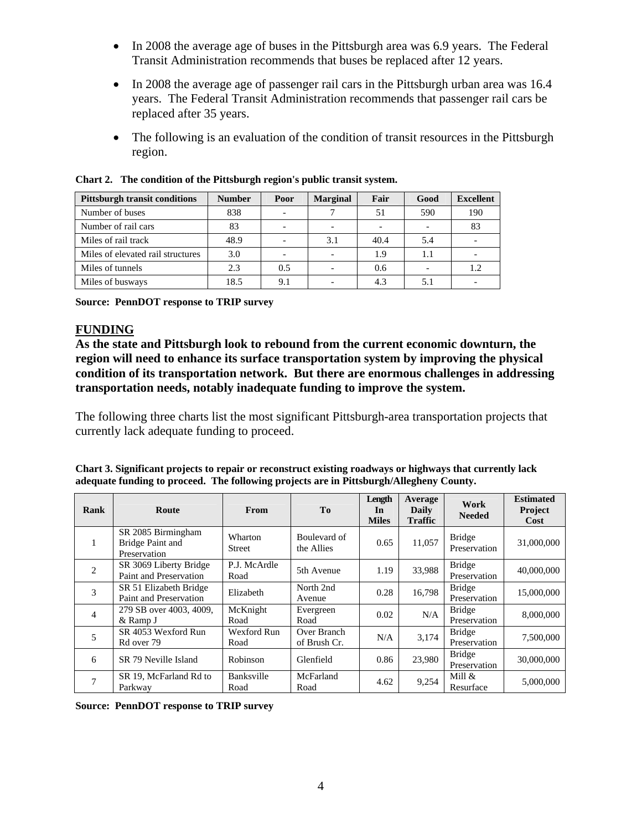- In 2008 the average age of buses in the Pittsburgh area was 6.9 years. The Federal Transit Administration recommends that buses be replaced after 12 years.
- In 2008 the average age of passenger rail cars in the Pittsburgh urban area was 16.4 years. The Federal Transit Administration recommends that passenger rail cars be replaced after 35 years.
- The following is an evaluation of the condition of transit resources in the Pittsburgh region.

| <b>Pittsburgh transit conditions</b> | <b>Number</b> | Poor | <b>Marginal</b> | Fair | Good | <b>Excellent</b> |
|--------------------------------------|---------------|------|-----------------|------|------|------------------|
| Number of buses                      | 838           |      |                 | 51   | 590  | 190              |
| Number of rail cars                  | 83            |      |                 |      |      | 83               |
| Miles of rail track                  | 48.9          |      | 3.1             | 40.4 | 5.4  |                  |
| Miles of elevated rail structures    | 3.0           |      |                 | 1.9  | 1.1  |                  |
| Miles of tunnels                     | 2.3           | 0.5  |                 | 0.6  |      | 1.2              |
| Miles of busways                     | 18.5          | 9.1  |                 | 4.3  | 5.1  |                  |

**Chart 2. The condition of the Pittsburgh region's public transit system.** 

**Source: PennDOT response to TRIP survey** 

#### **FUNDING**

**As the state and Pittsburgh look to rebound from the current economic downturn, the region will need to enhance its surface transportation system by improving the physical condition of its transportation network. But there are enormous challenges in addressing transportation needs, notably inadequate funding to improve the system.** 

The following three charts list the most significant Pittsburgh-area transportation projects that currently lack adequate funding to proceed.

| Chart 3. Significant projects to repair or reconstruct existing roadways or highways that currently lack |
|----------------------------------------------------------------------------------------------------------|
| adequate funding to proceed. The following projects are in Pittsburgh/Allegheny County.                  |

| Rank           | Route                                                  | <b>From</b>               | <b>To</b>                   | Length<br>In<br><b>Miles</b> | Average<br>Daily<br><b>Traffic</b> | Work<br><b>Needed</b>         | <b>Estimated</b><br>Project<br>Cost |
|----------------|--------------------------------------------------------|---------------------------|-----------------------------|------------------------------|------------------------------------|-------------------------------|-------------------------------------|
|                | SR 2085 Birmingham<br>Bridge Paint and<br>Preservation | Wharton<br>Street         | Boulevard of<br>the Allies  | 0.65                         | 11,057                             | <b>Bridge</b><br>Preservation | 31,000,000                          |
| $\overline{2}$ | SR 3069 Liberty Bridge<br>Paint and Preservation       | P.J. McArdle<br>Road      | 5th Avenue                  | 1.19                         | 33.988                             | <b>Bridge</b><br>Preservation | 40,000,000                          |
| 3              | SR 51 Elizabeth Bridge<br>Paint and Preservation       | Elizabeth                 | North 2nd<br>Avenue         | 0.28                         | 16,798                             | <b>Bridge</b><br>Preservation | 15,000,000                          |
| $\overline{4}$ | 279 SB over 4003, 4009,<br>& Ramp J                    | McKnight<br>Road          | Evergreen<br>Road           | 0.02                         | N/A                                | <b>Bridge</b><br>Preservation | 8,000,000                           |
| 5              | SR 4053 Wexford Run<br>Rd over 79                      | Wexford Run<br>Road       | Over Branch<br>of Brush Cr. | N/A                          | 3,174                              | <b>Bridge</b><br>Preservation | 7,500,000                           |
| 6              | SR 79 Neville Island                                   | Robinson                  | Glenfield                   | 0.86                         | 23,980                             | <b>Bridge</b><br>Preservation | 30,000,000                          |
| 7              | SR 19, McFarland Rd to<br>Parkway                      | <b>Banksville</b><br>Road | McFarland<br>Road           | 4.62                         | 9,254                              | Mill $&$<br>Resurface         | 5,000,000                           |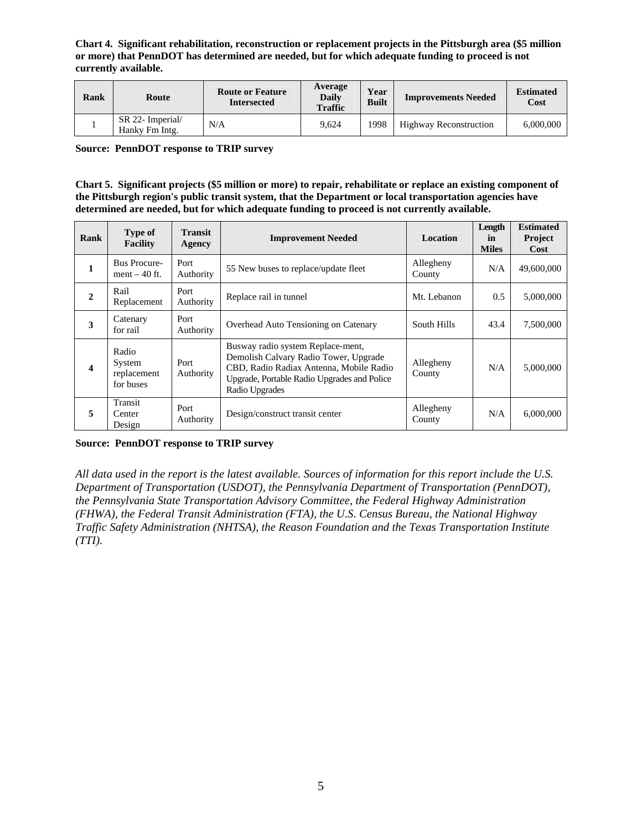**Chart 4. Significant rehabilitation, reconstruction or replacement projects in the Pittsburgh area (\$5 million or more) that PennDOT has determined are needed, but for which adequate funding to proceed is not currently available.** 

| Rank | Route                              | <b>Route or Feature</b><br><b>Intersected</b> | Average<br><b>Daily</b><br><b>Traffic</b> | Year<br><b>Built</b> | <b>Improvements Needed</b>    | <b>Estimated</b><br>Cost |
|------|------------------------------------|-----------------------------------------------|-------------------------------------------|----------------------|-------------------------------|--------------------------|
|      | SR 22- Imperial/<br>Hanky Fm Intg. | N/A                                           | 9.624                                     | 1998                 | <b>Highway Reconstruction</b> | 6,000,000                |

**Source: PennDOT response to TRIP survey** 

**Chart 5. Significant projects (\$5 million or more) to repair, rehabilitate or replace an existing component of the Pittsburgh region's public transit system, that the Department or local transportation agencies have determined are needed, but for which adequate funding to proceed is not currently available.** 

| Rank                    | Type of<br><b>Facility</b>                  | <b>Transit</b><br>Agency | <b>Improvement Needed</b>                                                                                                                                                              | <b>Location</b>     | Length<br>in<br><b>Miles</b> | <b>Estimated</b><br>Project<br>Cost |
|-------------------------|---------------------------------------------|--------------------------|----------------------------------------------------------------------------------------------------------------------------------------------------------------------------------------|---------------------|------------------------------|-------------------------------------|
| 1                       | <b>Bus Procure-</b><br>ment $-40$ ft.       | Port<br>Authority        | 55 New buses to replace/update fleet                                                                                                                                                   | Allegheny<br>County | N/A                          | 49,600,000                          |
| $\overline{2}$          | Rail<br>Replacement                         | Port<br>Authority        | Replace rail in tunnel                                                                                                                                                                 | Mt. Lebanon         | 0.5                          | 5,000,000                           |
| 3                       | Catenary<br>for rail                        | Port<br>Authority        | Overhead Auto Tensioning on Catenary                                                                                                                                                   | South Hills         | 43.4                         | 7,500,000                           |
| $\overline{\mathbf{4}}$ | Radio<br>System<br>replacement<br>for buses | Port<br>Authority        | Busway radio system Replace-ment,<br>Demolish Calvary Radio Tower, Upgrade<br>CBD, Radio Radiax Antenna, Mobile Radio<br>Upgrade, Portable Radio Upgrades and Police<br>Radio Upgrades | Allegheny<br>County | N/A                          | 5,000,000                           |
| 5                       | Transit<br>Center<br>Design                 | Port<br>Authority        | Design/construct transit center                                                                                                                                                        | Allegheny<br>County | N/A                          | 6,000,000                           |

#### **Source: PennDOT response to TRIP survey**

*All data used in the report is the latest available. Sources of information for this report include the U.S. Department of Transportation (USDOT), the Pennsylvania Department of Transportation (PennDOT), the Pennsylvania State Transportation Advisory Committee, the Federal Highway Administration (FHWA), the Federal Transit Administration (FTA), the U.S. Census Bureau, the National Highway Traffic Safety Administration (NHTSA), the Reason Foundation and the Texas Transportation Institute (TTI).*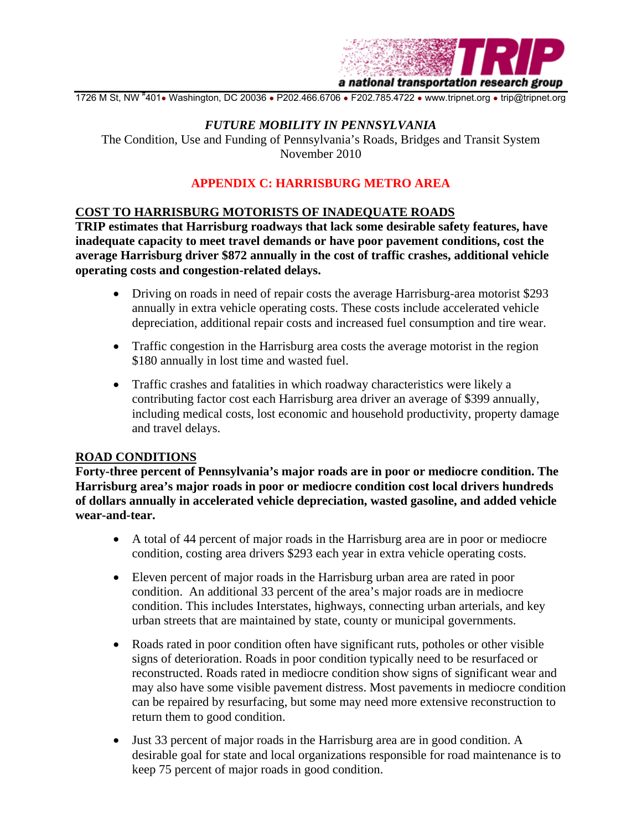

1726 M St, NW #401• Washington, DC 20036 • P202.466.6706 • F202.785.4722 • www.tripnet.org • trip@tripnet.org

#### *FUTURE MOBILITY IN PENNSYLVANIA*

The Condition, Use and Funding of Pennsylvania's Roads, Bridges and Transit System November 2010

#### **APPENDIX C: HARRISBURG METRO AREA**

#### **COST TO HARRISBURG MOTORISTS OF INADEQUATE ROADS**

**TRIP estimates that Harrisburg roadways that lack some desirable safety features, have inadequate capacity to meet travel demands or have poor pavement conditions, cost the average Harrisburg driver \$872 annually in the cost of traffic crashes, additional vehicle operating costs and congestion-related delays.** 

- Driving on roads in need of repair costs the average Harrisburg-area motorist \$293 annually in extra vehicle operating costs. These costs include accelerated vehicle depreciation, additional repair costs and increased fuel consumption and tire wear.
- Traffic congestion in the Harrisburg area costs the average motorist in the region \$180 annually in lost time and wasted fuel.
- Traffic crashes and fatalities in which roadway characteristics were likely a contributing factor cost each Harrisburg area driver an average of \$399 annually, including medical costs, lost economic and household productivity, property damage and travel delays.

#### **ROAD CONDITIONS**

**Forty-three percent of Pennsylvania's major roads are in poor or mediocre condition. The Harrisburg area's major roads in poor or mediocre condition cost local drivers hundreds of dollars annually in accelerated vehicle depreciation, wasted gasoline, and added vehicle wear-and-tear.** 

- A total of 44 percent of major roads in the Harrisburg area are in poor or mediocre condition, costing area drivers \$293 each year in extra vehicle operating costs.
- Eleven percent of major roads in the Harrisburg urban area are rated in poor condition. An additional 33 percent of the area's major roads are in mediocre condition. This includes Interstates, highways, connecting urban arterials, and key urban streets that are maintained by state, county or municipal governments.
- Roads rated in poor condition often have significant ruts, potholes or other visible signs of deterioration. Roads in poor condition typically need to be resurfaced or reconstructed. Roads rated in mediocre condition show signs of significant wear and may also have some visible pavement distress. Most pavements in mediocre condition can be repaired by resurfacing, but some may need more extensive reconstruction to return them to good condition.
- Just 33 percent of major roads in the Harrisburg area are in good condition. A desirable goal for state and local organizations responsible for road maintenance is to keep 75 percent of major roads in good condition.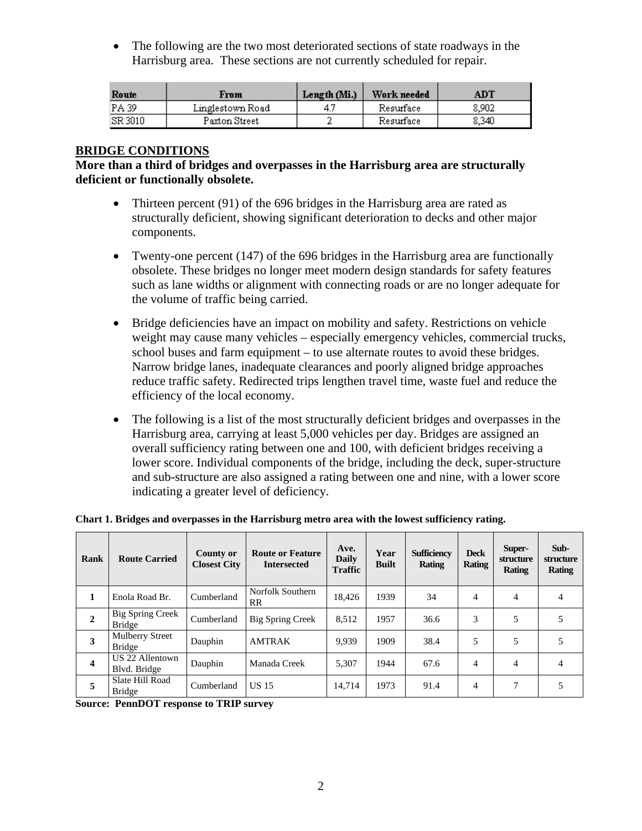• The following are the two most deteriorated sections of state roadways in the Harrisburg area. These sections are not currently scheduled for repair.

| Route    | From             | Length (Mi.) | Work needed | $\mathbf{A}\mathbf{D}\mathbf{T}$ |
|----------|------------------|--------------|-------------|----------------------------------|
| IPA 39   | Linglestown Road |              | Resurface   | 8.902                            |
| ISR 3010 | Paxton Street    |              | Resurface   | 8.340                            |

# **BRIDGE CONDITIONS**

#### **More than a third of bridges and overpasses in the Harrisburg area are structurally deficient or functionally obsolete.**

- Thirteen percent (91) of the 696 bridges in the Harrisburg area are rated as structurally deficient, showing significant deterioration to decks and other major components.
- Twenty-one percent (147) of the 696 bridges in the Harrisburg area are functionally obsolete. These bridges no longer meet modern design standards for safety features such as lane widths or alignment with connecting roads or are no longer adequate for the volume of traffic being carried.
- Bridge deficiencies have an impact on mobility and safety. Restrictions on vehicle weight may cause many vehicles – especially emergency vehicles, commercial trucks, school buses and farm equipment – to use alternate routes to avoid these bridges. Narrow bridge lanes, inadequate clearances and poorly aligned bridge approaches reduce traffic safety. Redirected trips lengthen travel time, waste fuel and reduce the efficiency of the local economy.
- The following is a list of the most structurally deficient bridges and overpasses in the Harrisburg area, carrying at least 5,000 vehicles per day. Bridges are assigned an overall sufficiency rating between one and 100, with deficient bridges receiving a lower score. Individual components of the bridge, including the deck, super-structure and sub-structure are also assigned a rating between one and nine, with a lower score indicating a greater level of deficiency.

| Rank                    | <b>Route Carried</b>                    | <b>County or</b><br><b>Closest City</b> | <b>Route or Feature</b><br><b>Intersected</b> | Ave.<br><b>Daily</b><br><b>Traffic</b> | Year<br><b>Built</b> | <b>Sufficiency</b><br>Rating | <b>Deck</b><br><b>Rating</b> | Super-<br>structure<br>Rating | Sub-<br>structure<br><b>Rating</b> |
|-------------------------|-----------------------------------------|-----------------------------------------|-----------------------------------------------|----------------------------------------|----------------------|------------------------------|------------------------------|-------------------------------|------------------------------------|
| 1                       | Enola Road Br.                          | Cumberland                              | Norfolk Southern<br>RR                        | 18,426                                 | 1939                 | 34                           | 4                            | 4                             | 4                                  |
| $\boldsymbol{2}$        | Big Spring Creek<br><b>Bridge</b>       | Cumberland                              | Big Spring Creek                              | 8,512                                  | 1957                 | 36.6                         | 3                            | 5                             | 5                                  |
| 3                       | <b>Mulberry Street</b><br><b>Bridge</b> | Dauphin                                 | <b>AMTRAK</b>                                 | 9,939                                  | 1909                 | 38.4                         | 5                            | 5                             | 5                                  |
| $\overline{\mathbf{4}}$ | US 22 Allentown<br>Blvd. Bridge         | Dauphin                                 | Manada Creek                                  | 5,307                                  | 1944                 | 67.6                         | $\overline{4}$               | $\overline{4}$                | $\overline{4}$                     |
| 5                       | Slate Hill Road<br><b>Bridge</b>        | Cumberland                              | <b>US 15</b>                                  | 14,714                                 | 1973                 | 91.4                         | $\overline{4}$               | 7                             | 5                                  |

**Chart 1. Bridges and overpasses in the Harrisburg metro area with the lowest sufficiency rating.**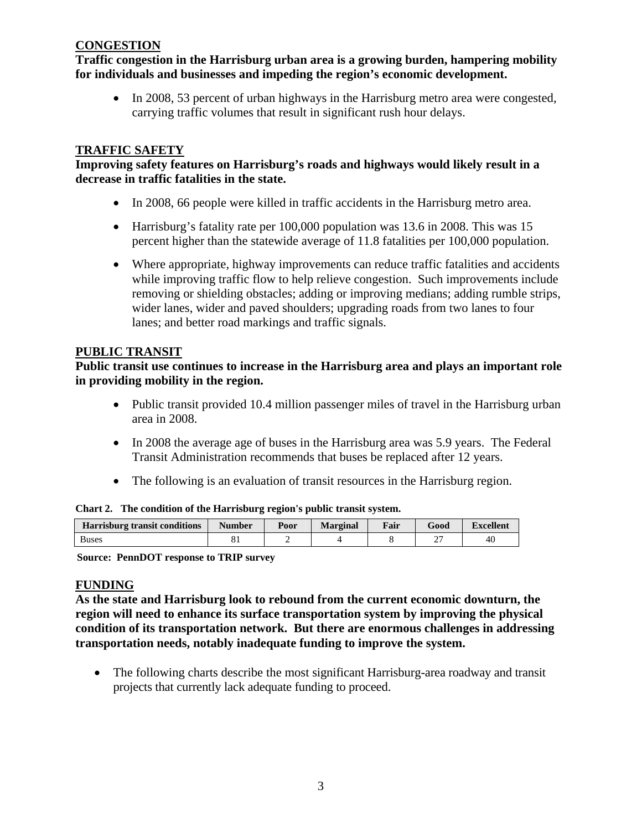#### **CONGESTION**

**Traffic congestion in the Harrisburg urban area is a growing burden, hampering mobility for individuals and businesses and impeding the region's economic development.** 

• In 2008, 53 percent of urban highways in the Harrisburg metro area were congested, carrying traffic volumes that result in significant rush hour delays.

# **TRAFFIC SAFETY**

# **Improving safety features on Harrisburg's roads and highways would likely result in a decrease in traffic fatalities in the state.**

- In 2008, 66 people were killed in traffic accidents in the Harrisburg metro area.
- Harrisburg's fatality rate per 100,000 population was 13.6 in 2008. This was 15 percent higher than the statewide average of 11.8 fatalities per 100,000 population.
- Where appropriate, highway improvements can reduce traffic fatalities and accidents while improving traffic flow to help relieve congestion. Such improvements include removing or shielding obstacles; adding or improving medians; adding rumble strips, wider lanes, wider and paved shoulders; upgrading roads from two lanes to four lanes; and better road markings and traffic signals.

#### **PUBLIC TRANSIT**

**Public transit use continues to increase in the Harrisburg area and plays an important role in providing mobility in the region.** 

- Public transit provided 10.4 million passenger miles of travel in the Harrisburg urban area in 2008.
- In 2008 the average age of buses in the Harrisburg area was 5.9 years. The Federal Transit Administration recommends that buses be replaced after 12 years.
- The following is an evaluation of transit resources in the Harrisburg region.

| <u>ышпан</u><br>THE CONGREGE OF THE HALFBOUL CITED BY PUBLIC HARDE SYSTEM. |               |                                         |  |  |  |    |  |  |  |  |
|----------------------------------------------------------------------------|---------------|-----------------------------------------|--|--|--|----|--|--|--|--|
| <b>Harrisburg transit conditions</b>                                       | <b>Number</b> | Fair<br>Good<br><b>Marginal</b><br>Poor |  |  |  |    |  |  |  |  |
| <b>Buses</b>                                                               |               | -                                       |  |  |  | 40 |  |  |  |  |

**Chart 2. The condition of the Harrisburg region's public transit system.** 

**Source: PennDOT response to TRIP survey** 

#### **FUNDING**

**As the state and Harrisburg look to rebound from the current economic downturn, the region will need to enhance its surface transportation system by improving the physical condition of its transportation network. But there are enormous challenges in addressing transportation needs, notably inadequate funding to improve the system.** 

• The following charts describe the most significant Harrisburg-area roadway and transit projects that currently lack adequate funding to proceed.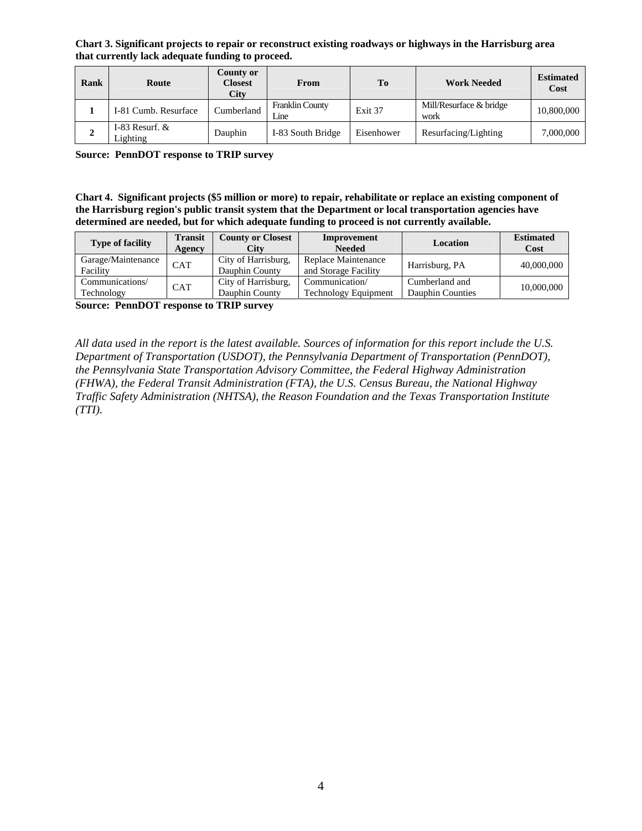**Chart 3. Significant projects to repair or reconstruct existing roadways or highways in the Harrisburg area that currently lack adequate funding to proceed.** 

| Rank | Route                        | County or<br><b>Closest</b><br>City | From                           | To         | <b>Work Needed</b>              | <b>Estimated</b><br>Cost |
|------|------------------------------|-------------------------------------|--------------------------------|------------|---------------------------------|--------------------------|
|      | I-81 Cumb. Resurface         | Cumberland                          | <b>Franklin County</b><br>Line | Exit 37    | Mill/Resurface & bridge<br>work | 10,800,000               |
| ↵    | I-83 Resurf. $&$<br>Lighting | Dauphin                             | I-83 South Bridge              | Eisenhower | Resurfacing/Lighting            | 7,000,000                |

**Source: PennDOT response to TRIP survey** 

**Chart 4. Significant projects (\$5 million or more) to repair, rehabilitate or replace an existing component of the Harrisburg region's public transit system that the Department or local transportation agencies have determined are needed, but for which adequate funding to proceed is not currently available.** 

| <b>Type of facility</b>        | <b>Transit</b><br>Agency | <b>County or Closest</b><br>City      | Improvement<br><b>Needed</b>                  | Location                                  | <b>Estimated</b><br>Cost |
|--------------------------------|--------------------------|---------------------------------------|-----------------------------------------------|-------------------------------------------|--------------------------|
| Garage/Maintenance<br>Facility | <b>CAT</b>               | City of Harrisburg,<br>Dauphin County | Replace Maintenance<br>and Storage Facility   | Harrisburg, PA                            | 40,000,000               |
| Communications/<br>Technology  | <b>CAT</b>               | City of Harrisburg,<br>Dauphin County | Communication/<br><b>Technology Equipment</b> | Cumberland and<br><b>Dauphin Counties</b> | 10,000,000               |

**Source: PennDOT response to TRIP survey** 

*All data used in the report is the latest available. Sources of information for this report include the U.S. Department of Transportation (USDOT), the Pennsylvania Department of Transportation (PennDOT), the Pennsylvania State Transportation Advisory Committee, the Federal Highway Administration (FHWA), the Federal Transit Administration (FTA), the U.S. Census Bureau, the National Highway Traffic Safety Administration (NHTSA), the Reason Foundation and the Texas Transportation Institute (TTI).*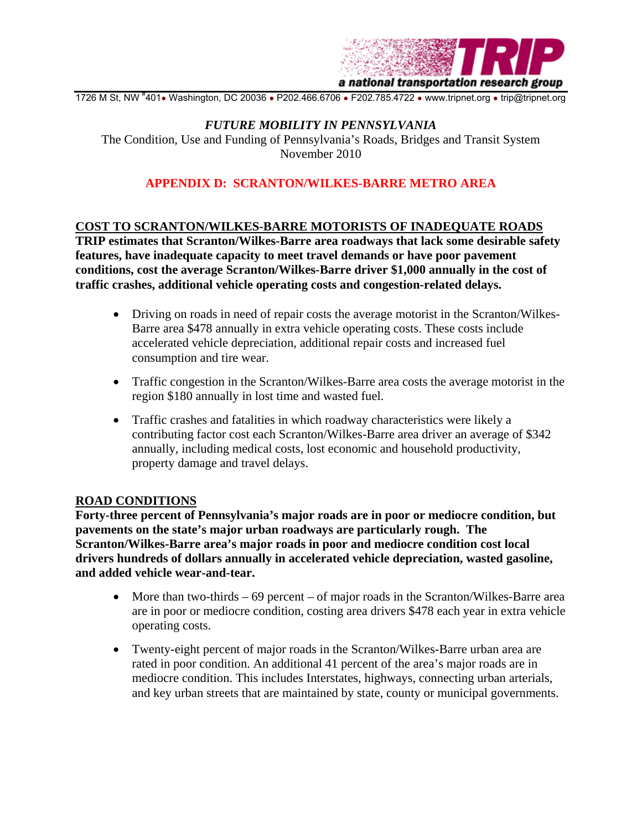

1726 M St, NW #401• Washington, DC 20036 • P202.466.6706 • F202.785.4722 • www.tripnet.org • trip@tripnet.org

#### *FUTURE MOBILITY IN PENNSYLVANIA*

The Condition, Use and Funding of Pennsylvania's Roads, Bridges and Transit System November 2010

# **APPENDIX D: SCRANTON/WILKES-BARRE METRO AREA**

#### **COST TO SCRANTON/WILKES-BARRE MOTORISTS OF INADEQUATE ROADS**

**TRIP estimates that Scranton/Wilkes-Barre area roadways that lack some desirable safety features, have inadequate capacity to meet travel demands or have poor pavement conditions, cost the average Scranton/Wilkes-Barre driver \$1,000 annually in the cost of traffic crashes, additional vehicle operating costs and congestion-related delays.** 

- Driving on roads in need of repair costs the average motorist in the Scranton/Wilkes-Barre area \$478 annually in extra vehicle operating costs. These costs include accelerated vehicle depreciation, additional repair costs and increased fuel consumption and tire wear.
- Traffic congestion in the Scranton/Wilkes-Barre area costs the average motorist in the region \$180 annually in lost time and wasted fuel.
- Traffic crashes and fatalities in which roadway characteristics were likely a contributing factor cost each Scranton/Wilkes-Barre area driver an average of \$342 annually, including medical costs, lost economic and household productivity, property damage and travel delays.

#### **ROAD CONDITIONS**

**Forty-three percent of Pennsylvania's major roads are in poor or mediocre condition, but pavements on the state's major urban roadways are particularly rough. The Scranton/Wilkes-Barre area's major roads in poor and mediocre condition cost local drivers hundreds of dollars annually in accelerated vehicle depreciation, wasted gasoline, and added vehicle wear-and-tear.** 

- More than two-thirds 69 percent of major roads in the Scranton/Wilkes-Barre area are in poor or mediocre condition, costing area drivers \$478 each year in extra vehicle operating costs.
- Twenty-eight percent of major roads in the Scranton/Wilkes-Barre urban area are rated in poor condition. An additional 41 percent of the area's major roads are in mediocre condition. This includes Interstates, highways, connecting urban arterials, and key urban streets that are maintained by state, county or municipal governments.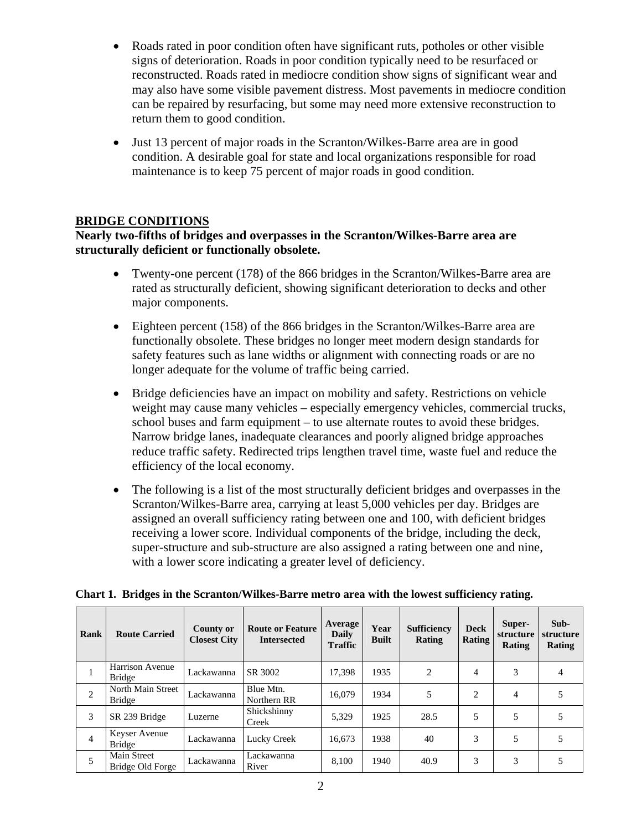- Roads rated in poor condition often have significant ruts, potholes or other visible signs of deterioration. Roads in poor condition typically need to be resurfaced or reconstructed. Roads rated in mediocre condition show signs of significant wear and may also have some visible pavement distress. Most pavements in mediocre condition can be repaired by resurfacing, but some may need more extensive reconstruction to return them to good condition.
- Just 13 percent of major roads in the Scranton/Wilkes-Barre area are in good condition. A desirable goal for state and local organizations responsible for road maintenance is to keep 75 percent of major roads in good condition.

# **BRIDGE CONDITIONS**

**Nearly two-fifths of bridges and overpasses in the Scranton/Wilkes-Barre area are structurally deficient or functionally obsolete.** 

- Twenty-one percent (178) of the 866 bridges in the Scranton/Wilkes-Barre area are rated as structurally deficient, showing significant deterioration to decks and other major components.
- Eighteen percent (158) of the 866 bridges in the Scranton/Wilkes-Barre area are functionally obsolete. These bridges no longer meet modern design standards for safety features such as lane widths or alignment with connecting roads or are no longer adequate for the volume of traffic being carried.
- Bridge deficiencies have an impact on mobility and safety. Restrictions on vehicle weight may cause many vehicles – especially emergency vehicles, commercial trucks, school buses and farm equipment – to use alternate routes to avoid these bridges. Narrow bridge lanes, inadequate clearances and poorly aligned bridge approaches reduce traffic safety. Redirected trips lengthen travel time, waste fuel and reduce the efficiency of the local economy.
- The following is a list of the most structurally deficient bridges and overpasses in the Scranton/Wilkes-Barre area, carrying at least 5,000 vehicles per day. Bridges are assigned an overall sufficiency rating between one and 100, with deficient bridges receiving a lower score. Individual components of the bridge, including the deck, super-structure and sub-structure are also assigned a rating between one and nine, with a lower score indicating a greater level of deficiency.

| <b>Rank</b>    | <b>Route Carried</b>               | County or<br><b>Closest City</b> | <b>Route or Feature</b><br><b>Intersected</b> | Average<br><b>Daily</b><br><b>Traffic</b> | Year<br><b>Built</b> | <b>Sufficiency</b><br>Rating | <b>Deck</b><br>Rating | Super-<br>structure<br>Rating | Sub-<br>structure<br>Rating |
|----------------|------------------------------------|----------------------------------|-----------------------------------------------|-------------------------------------------|----------------------|------------------------------|-----------------------|-------------------------------|-----------------------------|
|                | Harrison Avenue<br><b>Bridge</b>   | Lackawanna                       | SR 3002                                       | 17.398                                    | 1935                 | 2                            | $\overline{4}$        | 3                             | 4                           |
| 2              | North Main Street<br><b>Bridge</b> | Lackawanna                       | Blue Mtn.<br>Northern RR                      | 16.079                                    | 1934                 | 5                            | $\mathfrak{D}$        | 4                             | 5                           |
| 3              | SR 239 Bridge                      | Luzerne                          | Shickshinny<br>Creek                          | 5.329                                     | 1925                 | 28.5                         | 5                     | 5                             | 5                           |
| $\overline{4}$ | Keyser Avenue<br>Bridge            | Lackawanna                       | Lucky Creek                                   | 16.673                                    | 1938                 | 40                           | 3                     | 5                             | 5                           |
| 5              | Main Street<br>Bridge Old Forge    | Lackawanna                       | Lackawanna<br>River                           | 8,100                                     | 1940                 | 40.9                         | 3                     | 3                             | 5                           |

**Chart 1. Bridges in the Scranton/Wilkes-Barre metro area with the lowest sufficiency rating.**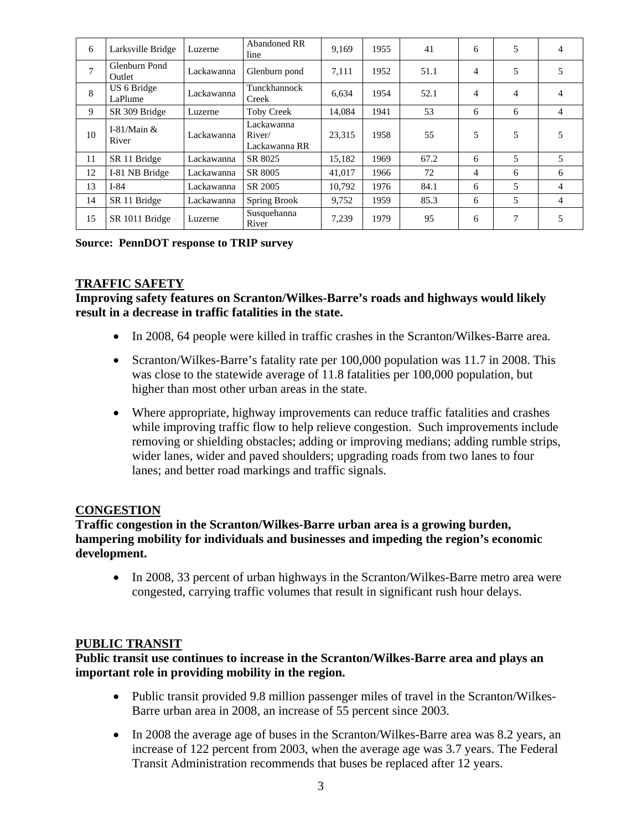| 6              | Larksville Bridge       | Luzerne    | Abandoned RR<br>line                  | 9.169  | 1955 | 41   | 6 | 5 | 4              |
|----------------|-------------------------|------------|---------------------------------------|--------|------|------|---|---|----------------|
| $\overline{ }$ | Glenburn Pond<br>Outlet | Lackawanna | Glenburn pond                         | 7,111  | 1952 | 51.1 | 4 | 5 | 5              |
| 8              | US 6 Bridge<br>LaPlume  | Lackawanna | Tunckhannock<br>Creek                 | 6,634  | 1954 | 52.1 | 4 | 4 | 4              |
| 9              | SR 309 Bridge           | Luzerne    | <b>Toby Creek</b>                     | 14,084 | 1941 | 53   | 6 | 6 | $\overline{4}$ |
| 10             | I-81/Main $&$<br>River  | Lackawanna | Lackawanna<br>River/<br>Lackawanna RR | 23,315 | 1958 | 55   | 5 | 5 | 5              |
| 11             | SR 11 Bridge            | Lackawanna | SR 8025                               | 15,182 | 1969 | 67.2 | 6 | 5 | 5              |
| 12             | I-81 NB Bridge          | Lackawanna | SR 8005                               | 41,017 | 1966 | 72   | 4 | 6 | 6              |
| 13             | $I-84$                  | Lackawanna | SR 2005                               | 10.792 | 1976 | 84.1 | 6 | 5 | 4              |
| 14             | SR 11 Bridge            | Lackawanna | Spring Brook                          | 9.752  | 1959 | 85.3 | 6 | 5 | 4              |
| 15             | SR 1011 Bridge          | Luzerne    | Susquehanna<br>River                  | 7,239  | 1979 | 95   | 6 | 7 | 5              |

#### **Source: PennDOT response to TRIP survey**

#### **TRAFFIC SAFETY**

**Improving safety features on Scranton/Wilkes-Barre's roads and highways would likely result in a decrease in traffic fatalities in the state.** 

- In 2008, 64 people were killed in traffic crashes in the Scranton/Wilkes-Barre area.
- Scranton/Wilkes-Barre's fatality rate per 100,000 population was 11.7 in 2008. This was close to the statewide average of 11.8 fatalities per 100,000 population, but higher than most other urban areas in the state.
- Where appropriate, highway improvements can reduce traffic fatalities and crashes while improving traffic flow to help relieve congestion. Such improvements include removing or shielding obstacles; adding or improving medians; adding rumble strips, wider lanes, wider and paved shoulders; upgrading roads from two lanes to four lanes; and better road markings and traffic signals.

#### **CONGESTION**

**Traffic congestion in the Scranton/Wilkes-Barre urban area is a growing burden, hampering mobility for individuals and businesses and impeding the region's economic development.** 

• In 2008, 33 percent of urban highways in the Scranton/Wilkes-Barre metro area were congested, carrying traffic volumes that result in significant rush hour delays.

#### **PUBLIC TRANSIT**

#### **Public transit use continues to increase in the Scranton/Wilkes-Barre area and plays an important role in providing mobility in the region.**

- Public transit provided 9.8 million passenger miles of travel in the Scranton/Wilkes-Barre urban area in 2008, an increase of 55 percent since 2003.
- In 2008 the average age of buses in the Scranton/Wilkes-Barre area was 8.2 years, an increase of 122 percent from 2003, when the average age was 3.7 years. The Federal Transit Administration recommends that buses be replaced after 12 years.